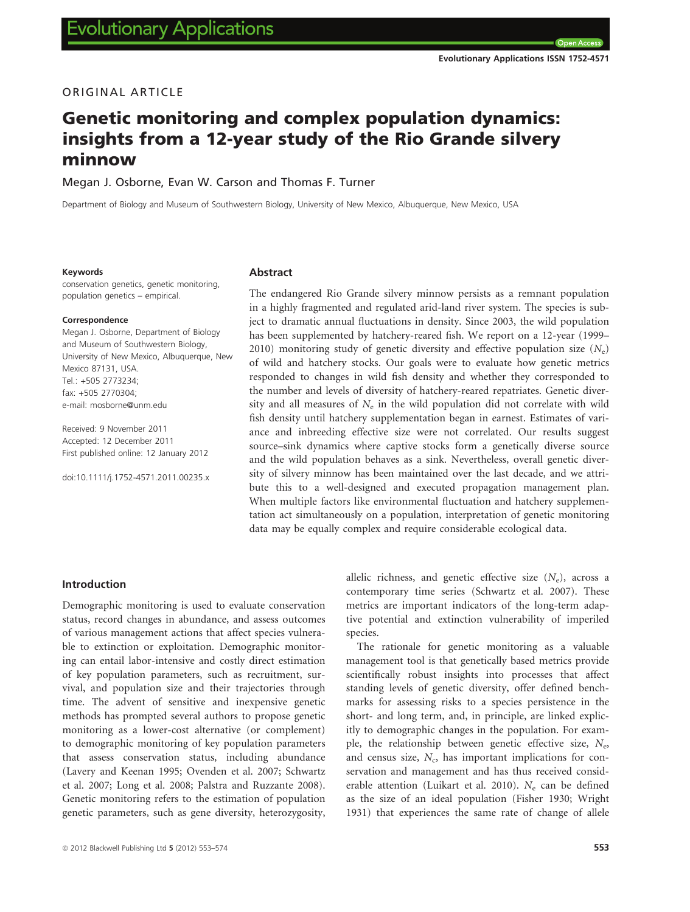# ORIGINAL ARTICLE

# Genetic monitoring and complex population dynamics: insights from a 12-year study of the Rio Grande silvery minnow

Megan J. Osborne, Evan W. Carson and Thomas F. Turner

Department of Biology and Museum of Southwestern Biology, University of New Mexico, Albuquerque, New Mexico, USA

#### Keywords

conservation genetics, genetic monitoring, population genetics – empirical.

#### Correspondence

Megan J. Osborne, Department of Biology and Museum of Southwestern Biology, University of New Mexico, Albuquerque, New Mexico 87131, USA. Tel.: +505 2773234; fax: +505 2770304; e-mail: mosborne@unm.edu

Received: 9 November 2011 Accepted: 12 December 2011 First published online: 12 January 2012

doi:10.1111/j.1752-4571.2011.00235.x

#### Abstract

The endangered Rio Grande silvery minnow persists as a remnant population in a highly fragmented and regulated arid-land river system. The species is subject to dramatic annual fluctuations in density. Since 2003, the wild population has been supplemented by hatchery-reared fish. We report on a 12-year (1999– 2010) monitoring study of genetic diversity and effective population size  $(N_e)$ of wild and hatchery stocks. Our goals were to evaluate how genetic metrics responded to changes in wild fish density and whether they corresponded to the number and levels of diversity of hatchery-reared repatriates. Genetic diversity and all measures of  $N_e$  in the wild population did not correlate with wild fish density until hatchery supplementation began in earnest. Estimates of variance and inbreeding effective size were not correlated. Our results suggest source–sink dynamics where captive stocks form a genetically diverse source and the wild population behaves as a sink. Nevertheless, overall genetic diversity of silvery minnow has been maintained over the last decade, and we attribute this to a well-designed and executed propagation management plan. When multiple factors like environmental fluctuation and hatchery supplementation act simultaneously on a population, interpretation of genetic monitoring data may be equally complex and require considerable ecological data.

## Introduction

Demographic monitoring is used to evaluate conservation status, record changes in abundance, and assess outcomes of various management actions that affect species vulnerable to extinction or exploitation. Demographic monitoring can entail labor-intensive and costly direct estimation of key population parameters, such as recruitment, survival, and population size and their trajectories through time. The advent of sensitive and inexpensive genetic methods has prompted several authors to propose genetic monitoring as a lower-cost alternative (or complement) to demographic monitoring of key population parameters that assess conservation status, including abundance (Lavery and Keenan 1995; Ovenden et al. 2007; Schwartz et al. 2007; Long et al. 2008; Palstra and Ruzzante 2008). Genetic monitoring refers to the estimation of population genetic parameters, such as gene diversity, heterozygosity,

 $\odot$  2012 Blackwell Publishing Ltd 5 (2012) 553–574 553

allelic richness, and genetic effective size  $(N_e)$ , across a contemporary time series (Schwartz et al. 2007). These metrics are important indicators of the long-term adaptive potential and extinction vulnerability of imperiled species.

The rationale for genetic monitoring as a valuable management tool is that genetically based metrics provide scientifically robust insights into processes that affect standing levels of genetic diversity, offer defined benchmarks for assessing risks to a species persistence in the short- and long term, and, in principle, are linked explicitly to demographic changes in the population. For example, the relationship between genetic effective size,  $N_e$ , and census size,  $N_c$ , has important implications for conservation and management and has thus received considerable attention (Luikart et al. 2010).  $N_e$  can be defined as the size of an ideal population (Fisher 1930; Wright 1931) that experiences the same rate of change of allele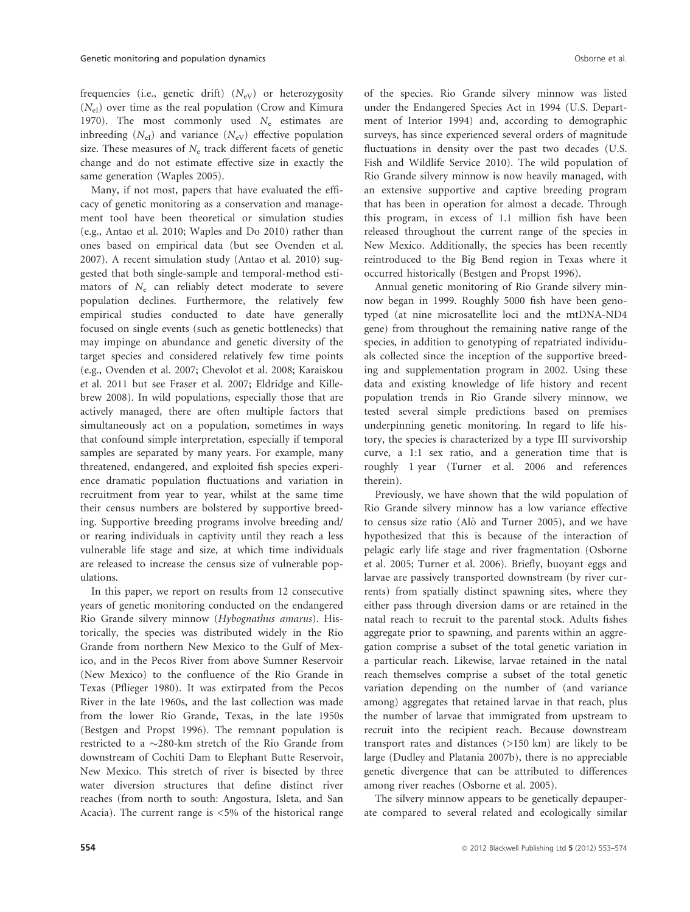frequencies (i.e., genetic drift)  $(N_{\rm eV})$  or heterozygosity  $(N_{\text{el}})$  over time as the real population (Crow and Kimura 1970). The most commonly used  $N_e$  estimates are inbreeding  $(N_{\rm eI})$  and variance  $(N_{\rm eV})$  effective population size. These measures of  $N_e$  track different facets of genetic change and do not estimate effective size in exactly the same generation (Waples 2005).

Many, if not most, papers that have evaluated the efficacy of genetic monitoring as a conservation and management tool have been theoretical or simulation studies (e.g., Antao et al. 2010; Waples and Do 2010) rather than ones based on empirical data (but see Ovenden et al. 2007). A recent simulation study (Antao et al. 2010) suggested that both single-sample and temporal-method estimators of  $N_e$  can reliably detect moderate to severe population declines. Furthermore, the relatively few empirical studies conducted to date have generally focused on single events (such as genetic bottlenecks) that may impinge on abundance and genetic diversity of the target species and considered relatively few time points (e.g., Ovenden et al. 2007; Chevolot et al. 2008; Karaiskou et al. 2011 but see Fraser et al. 2007; Eldridge and Killebrew 2008). In wild populations, especially those that are actively managed, there are often multiple factors that simultaneously act on a population, sometimes in ways that confound simple interpretation, especially if temporal samples are separated by many years. For example, many threatened, endangered, and exploited fish species experience dramatic population fluctuations and variation in recruitment from year to year, whilst at the same time their census numbers are bolstered by supportive breeding. Supportive breeding programs involve breeding and/ or rearing individuals in captivity until they reach a less vulnerable life stage and size, at which time individuals are released to increase the census size of vulnerable populations.

In this paper, we report on results from 12 consecutive years of genetic monitoring conducted on the endangered Rio Grande silvery minnow (Hybognathus amarus). Historically, the species was distributed widely in the Rio Grande from northern New Mexico to the Gulf of Mexico, and in the Pecos River from above Sumner Reservoir (New Mexico) to the confluence of the Rio Grande in Texas (Pflieger 1980). It was extirpated from the Pecos River in the late 1960s, and the last collection was made from the lower Rio Grande, Texas, in the late 1950s (Bestgen and Propst 1996). The remnant population is restricted to a  $\sim$ 280-km stretch of the Rio Grande from downstream of Cochiti Dam to Elephant Butte Reservoir, New Mexico. This stretch of river is bisected by three water diversion structures that define distinct river reaches (from north to south: Angostura, Isleta, and San Acacia). The current range is <5% of the historical range of the species. Rio Grande silvery minnow was listed under the Endangered Species Act in 1994 (U.S. Department of Interior 1994) and, according to demographic surveys, has since experienced several orders of magnitude fluctuations in density over the past two decades (U.S. Fish and Wildlife Service 2010). The wild population of Rio Grande silvery minnow is now heavily managed, with an extensive supportive and captive breeding program that has been in operation for almost a decade. Through this program, in excess of 1.1 million fish have been released throughout the current range of the species in New Mexico. Additionally, the species has been recently reintroduced to the Big Bend region in Texas where it occurred historically (Bestgen and Propst 1996).

Annual genetic monitoring of Rio Grande silvery minnow began in 1999. Roughly 5000 fish have been genotyped (at nine microsatellite loci and the mtDNA-ND4 gene) from throughout the remaining native range of the species, in addition to genotyping of repatriated individuals collected since the inception of the supportive breeding and supplementation program in 2002. Using these data and existing knowledge of life history and recent population trends in Rio Grande silvery minnow, we tested several simple predictions based on premises underpinning genetic monitoring. In regard to life history, the species is characterized by a type III survivorship curve, a 1:1 sex ratio, and a generation time that is roughly 1 year (Turner et al. 2006 and references therein).

Previously, we have shown that the wild population of Rio Grande silvery minnow has a low variance effective to census size ratio (Alò and Turner 2005), and we have hypothesized that this is because of the interaction of pelagic early life stage and river fragmentation (Osborne et al. 2005; Turner et al. 2006). Briefly, buoyant eggs and larvae are passively transported downstream (by river currents) from spatially distinct spawning sites, where they either pass through diversion dams or are retained in the natal reach to recruit to the parental stock. Adults fishes aggregate prior to spawning, and parents within an aggregation comprise a subset of the total genetic variation in a particular reach. Likewise, larvae retained in the natal reach themselves comprise a subset of the total genetic variation depending on the number of (and variance among) aggregates that retained larvae in that reach, plus the number of larvae that immigrated from upstream to recruit into the recipient reach. Because downstream transport rates and distances (>150 km) are likely to be large (Dudley and Platania 2007b), there is no appreciable genetic divergence that can be attributed to differences among river reaches (Osborne et al. 2005).

The silvery minnow appears to be genetically depauperate compared to several related and ecologically similar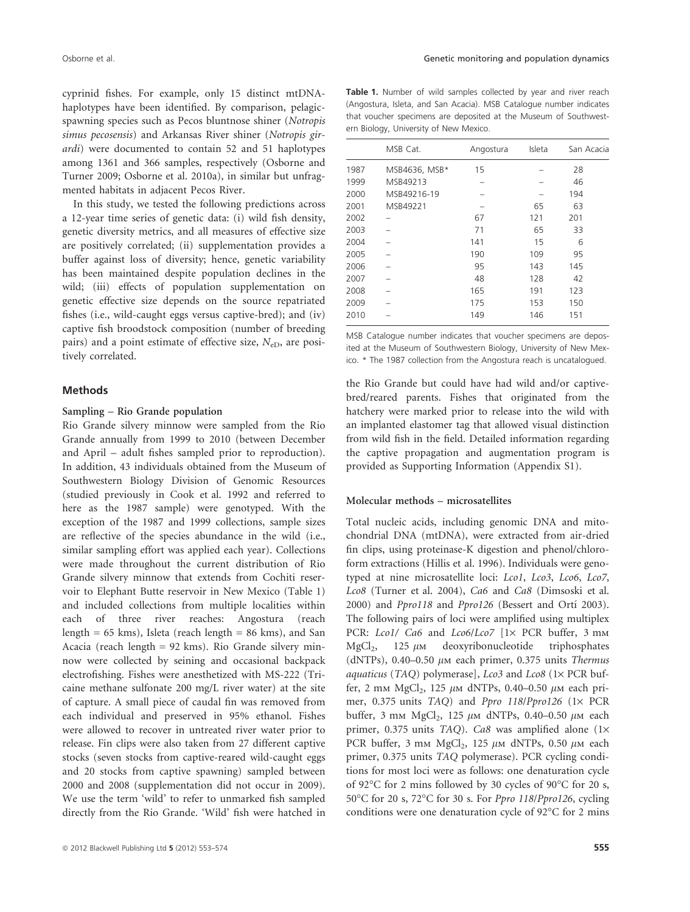cyprinid fishes. For example, only 15 distinct mtDNAhaplotypes have been identified. By comparison, pelagicspawning species such as Pecos bluntnose shiner (Notropis simus pecosensis) and Arkansas River shiner (Notropis girardi) were documented to contain 52 and 51 haplotypes among 1361 and 366 samples, respectively (Osborne and Turner 2009; Osborne et al. 2010a), in similar but unfragmented habitats in adjacent Pecos River.

In this study, we tested the following predictions across a 12-year time series of genetic data: (i) wild fish density, genetic diversity metrics, and all measures of effective size are positively correlated; (ii) supplementation provides a buffer against loss of diversity; hence, genetic variability has been maintained despite population declines in the wild; (iii) effects of population supplementation on genetic effective size depends on the source repatriated fishes (i.e., wild-caught eggs versus captive-bred); and (iv) captive fish broodstock composition (number of breeding pairs) and a point estimate of effective size,  $N_{eD}$ , are positively correlated.

## **Methods**

## Sampling – Rio Grande population

Rio Grande silvery minnow were sampled from the Rio Grande annually from 1999 to 2010 (between December and April – adult fishes sampled prior to reproduction). In addition, 43 individuals obtained from the Museum of Southwestern Biology Division of Genomic Resources (studied previously in Cook et al. 1992 and referred to here as the 1987 sample) were genotyped. With the exception of the 1987 and 1999 collections, sample sizes are reflective of the species abundance in the wild (i.e., similar sampling effort was applied each year). Collections were made throughout the current distribution of Rio Grande silvery minnow that extends from Cochiti reservoir to Elephant Butte reservoir in New Mexico (Table 1) and included collections from multiple localities within each of three river reaches: Angostura (reach length =  $65$  kms), Isleta (reach length =  $86$  kms), and San Acacia (reach length = 92 kms). Rio Grande silvery minnow were collected by seining and occasional backpack electrofishing. Fishes were anesthetized with MS-222 (Tricaine methane sulfonate 200 mg/L river water) at the site of capture. A small piece of caudal fin was removed from each individual and preserved in 95% ethanol. Fishes were allowed to recover in untreated river water prior to release. Fin clips were also taken from 27 different captive stocks (seven stocks from captive-reared wild-caught eggs and 20 stocks from captive spawning) sampled between 2000 and 2008 (supplementation did not occur in 2009). We use the term 'wild' to refer to unmarked fish sampled directly from the Rio Grande. 'Wild' fish were hatched in

Table 1. Number of wild samples collected by year and river reach (Angostura, Isleta, and San Acacia). MSB Catalogue number indicates that voucher specimens are deposited at the Museum of Southwestern Biology, University of New Mexico.

|      | MSB Cat.      | Angostura | Isleta | San Acacia |
|------|---------------|-----------|--------|------------|
| 1987 | MSB4636, MSB* | 15        |        | 28         |
| 1999 | MSB49213      |           |        | 46         |
| 2000 | MSB49216-19   |           |        | 194        |
| 2001 | MSB49221      |           | 65     | 63         |
| 2002 |               | 67        | 121    | 201        |
| 2003 |               | 71        | 65     | 33         |
| 2004 |               | 141       | 15     | 6          |
| 2005 |               | 190       | 109    | 95         |
| 2006 |               | 95        | 143    | 145        |
| 2007 |               | 48        | 128    | 42         |
| 2008 |               | 165       | 191    | 123        |
| 2009 |               | 175       | 153    | 150        |
| 2010 |               | 149       | 146    | 151        |
|      |               |           |        |            |

MSB Catalogue number indicates that voucher specimens are deposited at the Museum of Southwestern Biology, University of New Mexico. \* The 1987 collection from the Angostura reach is uncatalogued.

the Rio Grande but could have had wild and/or captivebred/reared parents. Fishes that originated from the hatchery were marked prior to release into the wild with an implanted elastomer tag that allowed visual distinction from wild fish in the field. Detailed information regarding the captive propagation and augmentation program is provided as Supporting Information (Appendix S1).

# Molecular methods – microsatellites

Total nucleic acids, including genomic DNA and mitochondrial DNA (mtDNA), were extracted from air-dried fin clips, using proteinase-K digestion and phenol/chloroform extractions (Hillis et al. 1996). Individuals were genotyped at nine microsatellite loci: Lco1, Lco3, Lco6, Lco7, Lco8 (Turner et al. 2004), Ca6 and Ca8 (Dimsoski et al. 2000) and Ppro118 and Ppro126 (Bessert and Orti 2003). The following pairs of loci were amplified using multiplex PCR: Lco1/ Ca6 and Lco6/Lco7 [1× PCR buffer, 3 mm  $MgCl<sub>2</sub>$ , 125  $\mu$ M deoxyribonucleotide triphosphates (dNTPs), 0.40-0.50  $\mu$ m each primer, 0.375 units Thermus *aquaticus* (TAQ) polymerase],  $Lco3$  and  $Lco8$  ( $1\times$  PCR buffer, 2 mm  $MgCl_2$ , 125  $\mu$ m dNTPs, 0.40–0.50  $\mu$ m each primer, 0.375 units  $TAQ$ ) and *Ppro* 118/*Ppro126* (1 $\times$  PCR buffer, 3 mm MgCl<sub>2</sub>, 125  $\mu$ m dNTPs, 0.40–0.50  $\mu$ m each primer, 0.375 units TAQ). Ca8 was amplified alone  $(1 \times$ PCR buffer, 3 mm  $MgCl_2$ , 125  $\mu$ m dNTPs, 0.50  $\mu$ m each primer, 0.375 units TAQ polymerase). PCR cycling conditions for most loci were as follows: one denaturation cycle of 92°C for 2 mins followed by 30 cycles of 90°C for 20 s, 50°C for 20 s, 72°C for 30 s. For Ppro 118/Ppro126, cycling conditions were one denaturation cycle of  $92^{\circ}$ C for 2 mins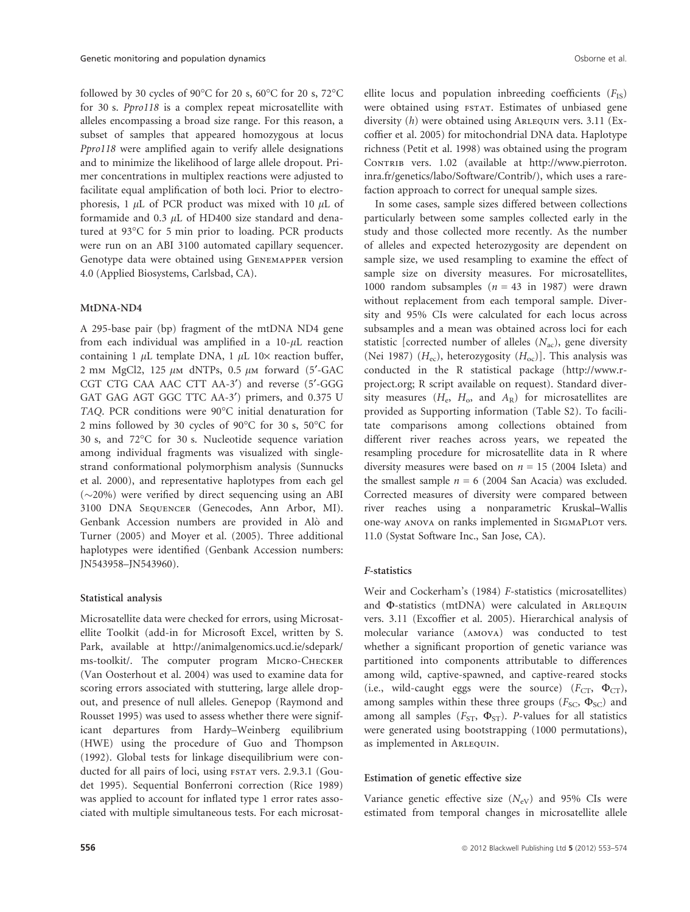followed by 30 cycles of 90°C for 20 s, 60°C for 20 s, 72°C for 30 s. Ppro118 is a complex repeat microsatellite with alleles encompassing a broad size range. For this reason, a subset of samples that appeared homozygous at locus Ppro118 were amplified again to verify allele designations and to minimize the likelihood of large allele dropout. Primer concentrations in multiplex reactions were adjusted to facilitate equal amplification of both loci. Prior to electrophoresis, 1  $\mu$ L of PCR product was mixed with 10  $\mu$ L of formamide and 0.3  $\mu$ L of HD400 size standard and denatured at 93-C for 5 min prior to loading. PCR products were run on an ABI 3100 automated capillary sequencer. Genotype data were obtained using Genemapper version 4.0 (Applied Biosystems, Carlsbad, CA).

# MtDNA-ND4

A 295-base pair (bp) fragment of the mtDNA ND4 gene from each individual was amplified in a  $10-\mu L$  reaction containing 1  $\mu$ L template DNA, 1  $\mu$ L 10 $\times$  reaction buffer, 2 mm MgCl2, 125  $\mu$ m dNTPs, 0.5  $\mu$ m forward (5'-GAC CGT CTG CAA AAC CTT AA-3') and reverse (5'-GGG GAT GAG AGT GGC TTC AA-3') primers, and 0.375 U TAQ. PCR conditions were 90°C initial denaturation for 2 mins followed by 30 cycles of 90 $^{\circ}$ C for 30 s, 50 $^{\circ}$ C for 30 s, and 72-C for 30 s. Nucleotide sequence variation among individual fragments was visualized with singlestrand conformational polymorphism analysis (Sunnucks et al. 2000), and representative haplotypes from each gel  $(\sim 20\%)$  were verified by direct sequencing using an ABI 3100 DNA Sequencer (Genecodes, Ann Arbor, MI). Genbank Accession numbers are provided in Alò and Turner (2005) and Moyer et al. (2005). Three additional haplotypes were identified (Genbank Accession numbers: JN543958–JN543960).

## Statistical analysis

Microsatellite data were checked for errors, using Microsatellite Toolkit (add-in for Microsoft Excel, written by S. Park, available at http://animalgenomics.ucd.ie/sdepark/ ms-toolkit/. The computer program Micro-Checker (Van Oosterhout et al. 2004) was used to examine data for scoring errors associated with stuttering, large allele dropout, and presence of null alleles. Genepop (Raymond and Rousset 1995) was used to assess whether there were significant departures from Hardy–Weinberg equilibrium (HWE) using the procedure of Guo and Thompson (1992). Global tests for linkage disequilibrium were conducted for all pairs of loci, using FSTAT vers. 2.9.3.1 (Goudet 1995). Sequential Bonferroni correction (Rice 1989) was applied to account for inflated type 1 error rates associated with multiple simultaneous tests. For each microsatellite locus and population inbreeding coefficients  $(F_{IS})$ were obtained using FSTAT. Estimates of unbiased gene diversity (h) were obtained using Arlequin vers. 3.11 (Excoffier et al. 2005) for mitochondrial DNA data. Haplotype richness (Petit et al. 1998) was obtained using the program CONTRIB vers. 1.02 (available at http://www.pierroton. inra.fr/genetics/labo/Software/Contrib/), which uses a rarefaction approach to correct for unequal sample sizes.

In some cases, sample sizes differed between collections particularly between some samples collected early in the study and those collected more recently. As the number of alleles and expected heterozygosity are dependent on sample size, we used resampling to examine the effect of sample size on diversity measures. For microsatellites, 1000 random subsamples ( $n = 43$  in 1987) were drawn without replacement from each temporal sample. Diversity and 95% CIs were calculated for each locus across subsamples and a mean was obtained across loci for each statistic [corrected number of alleles  $(N_{ac})$ , gene diversity (Nei 1987) ( $H_{ec}$ ), heterozygosity ( $H_{oc}$ )]. This analysis was conducted in the R statistical package (http://www.rproject.org; R script available on request). Standard diversity measures ( $H_e$ ,  $H_o$ , and  $A_R$ ) for microsatellites are provided as Supporting information (Table S2). To facilitate comparisons among collections obtained from different river reaches across years, we repeated the resampling procedure for microsatellite data in R where diversity measures were based on  $n = 15$  (2004 Isleta) and the smallest sample  $n = 6$  (2004 San Acacia) was excluded. Corrected measures of diversity were compared between river reaches using a nonparametric Kruskal–Wallis one-way ANOVA on ranks implemented in SIGMAPLOT vers. 11.0 (Systat Software Inc., San Jose, CA).

#### F-statistics

Weir and Cockerham's (1984) F-statistics (microsatellites) and  $\Phi$ -statistics (mtDNA) were calculated in ARLEQUIN vers. 3.11 (Excoffier et al. 2005). Hierarchical analysis of molecular variance (amova) was conducted to test whether a significant proportion of genetic variance was partitioned into components attributable to differences among wild, captive-spawned, and captive-reared stocks (i.e., wild-caught eggs were the source)  $(F_{CT}, \Phi_{CT})$ , among samples within these three groups ( $F_{SC}$ ,  $\Phi_{SC}$ ) and among all samples ( $F_{ST}$ ,  $\Phi_{ST}$ ). P-values for all statistics were generated using bootstrapping (1000 permutations), as implemented in Arlequin.

# Estimation of genetic effective size

Variance genetic effective size  $(N_{\rm eV})$  and 95% CIs were estimated from temporal changes in microsatellite allele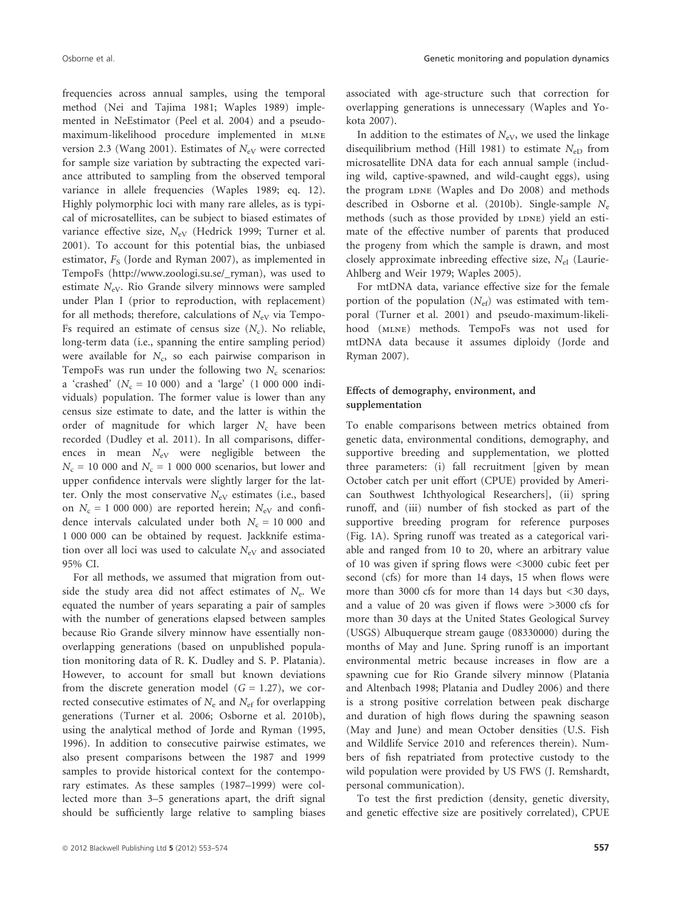Osborne et al. **Genetic monitoring and population dynamics** of the Genetic monitoring and population dynamics

frequencies across annual samples, using the temporal method (Nei and Tajima 1981; Waples 1989) implemented in NeEstimator (Peel et al. 2004) and a pseudomaximum-likelihood procedure implemented in MLNE version 2.3 (Wang 2001). Estimates of  $N_{\rm eV}$  were corrected for sample size variation by subtracting the expected variance attributed to sampling from the observed temporal variance in allele frequencies (Waples 1989; eq. 12). Highly polymorphic loci with many rare alleles, as is typical of microsatellites, can be subject to biased estimates of variance effective size,  $N_{\rm eV}$  (Hedrick 1999; Turner et al. 2001). To account for this potential bias, the unbiased estimator,  $F_S$  (Jorde and Ryman 2007), as implemented in TempoFs (http://www.zoologi.su.se/\_ryman), was used to estimate  $N_{\rm eV}$ . Rio Grande silvery minnows were sampled under Plan I (prior to reproduction, with replacement) for all methods; therefore, calculations of  $N_{\rm eV}$  via Tempo-Fs required an estimate of census size  $(N_c)$ . No reliable, long-term data (i.e., spanning the entire sampling period) were available for  $N_c$ , so each pairwise comparison in TempoFs was run under the following two  $N_c$  scenarios: a 'crashed' ( $N_c = 10000$ ) and a 'large' (1000000 individuals) population. The former value is lower than any census size estimate to date, and the latter is within the order of magnitude for which larger  $N_c$  have been recorded (Dudley et al. 2011). In all comparisons, differences in mean  $N_{\text{eV}}$  were negligible between the  $N_c = 10000$  and  $N_c = 1000000$  scenarios, but lower and upper confidence intervals were slightly larger for the latter. Only the most conservative  $N_{\rm eV}$  estimates (i.e., based on  $N_c = 1000000$  are reported herein;  $N_{\rm eV}$  and confidence intervals calculated under both  $N_c = 10000$  and 1 000 000 can be obtained by request. Jackknife estimation over all loci was used to calculate  $N_{\text{eV}}$  and associated 95% CI.

For all methods, we assumed that migration from outside the study area did not affect estimates of  $N_e$ . We equated the number of years separating a pair of samples with the number of generations elapsed between samples because Rio Grande silvery minnow have essentially nonoverlapping generations (based on unpublished population monitoring data of R. K. Dudley and S. P. Platania). However, to account for small but known deviations from the discrete generation model  $(G = 1.27)$ , we corrected consecutive estimates of  $N_e$  and  $N_{\text{ef}}$  for overlapping generations (Turner et al. 2006; Osborne et al. 2010b), using the analytical method of Jorde and Ryman (1995, 1996). In addition to consecutive pairwise estimates, we also present comparisons between the 1987 and 1999 samples to provide historical context for the contemporary estimates. As these samples (1987–1999) were collected more than 3–5 generations apart, the drift signal should be sufficiently large relative to sampling biases associated with age-structure such that correction for overlapping generations is unnecessary (Waples and Yokota 2007).

In addition to the estimates of  $N_{\rm eV}$ , we used the linkage disequilibrium method (Hill 1981) to estimate  $N_{eD}$  from microsatellite DNA data for each annual sample (including wild, captive-spawned, and wild-caught eggs), using the program LDNE (Waples and Do 2008) and methods described in Osborne et al. (2010b). Single-sample  $N_e$ methods (such as those provided by LDNE) yield an estimate of the effective number of parents that produced the progeny from which the sample is drawn, and most closely approximate inbreeding effective size,  $N_{\text{eI}}$  (Laurie-Ahlberg and Weir 1979; Waples 2005).

For mtDNA data, variance effective size for the female portion of the population  $(N<sub>ef</sub>)$  was estimated with temporal (Turner et al. 2001) and pseudo-maximum-likelihood (mlne) methods. TempoFs was not used for mtDNA data because it assumes diploidy (Jorde and Ryman 2007).

# Effects of demography, environment, and supplementation

To enable comparisons between metrics obtained from genetic data, environmental conditions, demography, and supportive breeding and supplementation, we plotted three parameters: (i) fall recruitment [given by mean October catch per unit effort (CPUE) provided by American Southwest Ichthyological Researchers], (ii) spring runoff, and (iii) number of fish stocked as part of the supportive breeding program for reference purposes (Fig. 1A). Spring runoff was treated as a categorical variable and ranged from 10 to 20, where an arbitrary value of 10 was given if spring flows were <3000 cubic feet per second (cfs) for more than 14 days, 15 when flows were more than 3000 cfs for more than 14 days but <30 days, and a value of 20 was given if flows were >3000 cfs for more than 30 days at the United States Geological Survey (USGS) Albuquerque stream gauge (08330000) during the months of May and June. Spring runoff is an important environmental metric because increases in flow are a spawning cue for Rio Grande silvery minnow (Platania and Altenbach 1998; Platania and Dudley 2006) and there is a strong positive correlation between peak discharge and duration of high flows during the spawning season (May and June) and mean October densities (U.S. Fish and Wildlife Service 2010 and references therein). Numbers of fish repatriated from protective custody to the wild population were provided by US FWS (J. Remshardt, personal communication).

To test the first prediction (density, genetic diversity, and genetic effective size are positively correlated), CPUE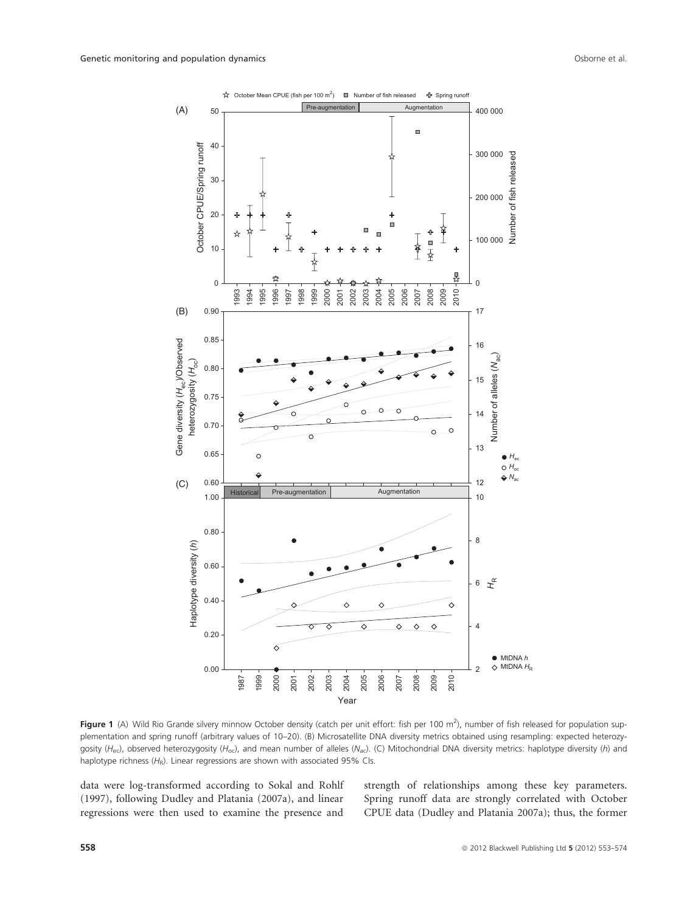

Figure 1 (A) Wild Rio Grande silvery minnow October density (catch per unit effort: fish per 100 m<sup>2</sup>), number of fish released for population supplementation and spring runoff (arbitrary values of 10–20). (B) Microsatellite DNA diversity metrics obtained using resampling: expected heterozygosity ( $H_{ec}$ ), observed heterozygosity ( $H_{oc}$ ), and mean number of alleles (N<sub>ac</sub>). (C) Mitochondrial DNA diversity metrics: haplotype diversity (h) and haplotype richness  $(H_R)$ . Linear regressions are shown with associated 95% CIs.

data were log-transformed according to Sokal and Rohlf (1997), following Dudley and Platania (2007a), and linear regressions were then used to examine the presence and strength of relationships among these key parameters. Spring runoff data are strongly correlated with October CPUE data (Dudley and Platania 2007a); thus, the former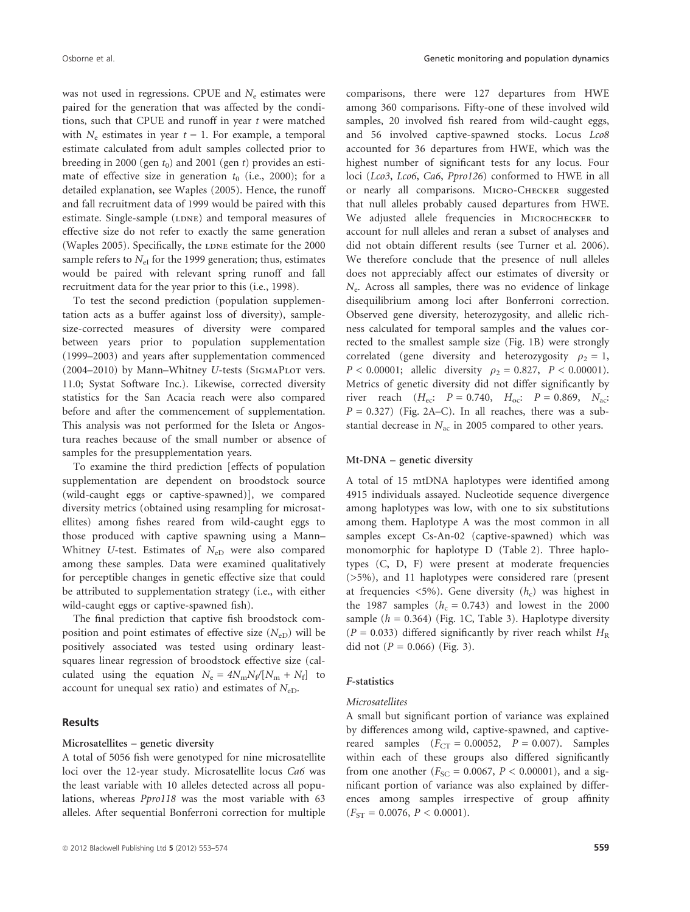was not used in regressions. CPUE and  $N_e$  estimates were paired for the generation that was affected by the conditions, such that CPUE and runoff in year  $t$  were matched with  $N_e$  estimates in year  $t - 1$ . For example, a temporal estimate calculated from adult samples collected prior to breeding in 2000 (gen  $t_0$ ) and 2001 (gen t) provides an estimate of effective size in generation  $t_0$  (i.e., 2000); for a detailed explanation, see Waples (2005). Hence, the runoff and fall recruitment data of 1999 would be paired with this estimate. Single-sample (LDNE) and temporal measures of effective size do not refer to exactly the same generation (Waples 2005). Specifically, the LDNE estimate for the 2000 sample refers to  $N_{\text{eI}}$  for the 1999 generation; thus, estimates would be paired with relevant spring runoff and fall recruitment data for the year prior to this (i.e., 1998).

To test the second prediction (population supplementation acts as a buffer against loss of diversity), samplesize-corrected measures of diversity were compared between years prior to population supplementation (1999–2003) and years after supplementation commenced  $(2004–2010)$  by Mann–Whitney U-tests (SIGMAPLOT vers. 11.0; Systat Software Inc.). Likewise, corrected diversity statistics for the San Acacia reach were also compared before and after the commencement of supplementation. This analysis was not performed for the Isleta or Angostura reaches because of the small number or absence of samples for the presupplementation years.

To examine the third prediction [effects of population supplementation are dependent on broodstock source (wild-caught eggs or captive-spawned)], we compared diversity metrics (obtained using resampling for microsatellites) among fishes reared from wild-caught eggs to those produced with captive spawning using a Mann– Whitney U-test. Estimates of  $N_{eD}$  were also compared among these samples. Data were examined qualitatively for perceptible changes in genetic effective size that could be attributed to supplementation strategy (i.e., with either wild-caught eggs or captive-spawned fish).

The final prediction that captive fish broodstock composition and point estimates of effective size  $(N_{eD})$  will be positively associated was tested using ordinary leastsquares linear regression of broodstock effective size (calculated using the equation  $N_e = 4N_mN_f/[N_m + N_f]$  to account for unequal sex ratio) and estimates of  $N_{eD}$ .

# Results

#### Microsatellites – genetic diversity

A total of 5056 fish were genotyped for nine microsatellite loci over the 12-year study. Microsatellite locus Ca6 was the least variable with 10 alleles detected across all populations, whereas Ppro118 was the most variable with 63 alleles. After sequential Bonferroni correction for multiple

comparisons, there were 127 departures from HWE among 360 comparisons. Fifty-one of these involved wild samples, 20 involved fish reared from wild-caught eggs, and 56 involved captive-spawned stocks. Locus Lco8 accounted for 36 departures from HWE, which was the highest number of significant tests for any locus. Four loci (Lco3, Lco6, Ca6, Ppro126) conformed to HWE in all or nearly all comparisons. Micro-Checker suggested that null alleles probably caused departures from HWE. We adjusted allele frequencies in MICROCHECKER to account for null alleles and reran a subset of analyses and did not obtain different results (see Turner et al. 2006). We therefore conclude that the presence of null alleles does not appreciably affect our estimates of diversity or Ne. Across all samples, there was no evidence of linkage disequilibrium among loci after Bonferroni correction. Observed gene diversity, heterozygosity, and allelic richness calculated for temporal samples and the values corrected to the smallest sample size (Fig. 1B) were strongly correlated (gene diversity and heterozygosity  $\rho_2 = 1$ ,  $P < 0.00001$ ; allelic diversity  $\rho_2 = 0.827$ ,  $P < 0.00001$ ). Metrics of genetic diversity did not differ significantly by river reach  $(H_{\text{ec}}: P = 0.740, H_{\text{oc}}: P = 0.869, N_{\text{ac}}:$  $P = 0.327$ ) (Fig. 2A–C). In all reaches, there was a substantial decrease in  $N_{ac}$  in 2005 compared to other years.

#### Mt-DNA – genetic diversity

A total of 15 mtDNA haplotypes were identified among 4915 individuals assayed. Nucleotide sequence divergence among haplotypes was low, with one to six substitutions among them. Haplotype A was the most common in all samples except Cs-An-02 (captive-spawned) which was monomorphic for haplotype D (Table 2). Three haplotypes (C, D, F) were present at moderate frequencies (>5%), and 11 haplotypes were considered rare (present at frequencies  $\langle 5\% \rangle$ . Gene diversity  $(h_c)$  was highest in the 1987 samples  $(h_c = 0.743)$  and lowest in the 2000 sample  $(h = 0.364)$  (Fig. 1C, Table 3). Haplotype diversity ( $P = 0.033$ ) differed significantly by river reach whilst  $H_R$ did not ( $P = 0.066$ ) (Fig. 3).

# F-statistics

## Microsatellites

A small but significant portion of variance was explained by differences among wild, captive-spawned, and captivereared samples  $(F_{CT} = 0.00052, P = 0.007)$ . Samples within each of these groups also differed significantly from one another ( $F_{SC} = 0.0067$ ,  $P < 0.00001$ ), and a significant portion of variance was also explained by differences among samples irrespective of group affinity  $(F_{ST} = 0.0076, P < 0.0001).$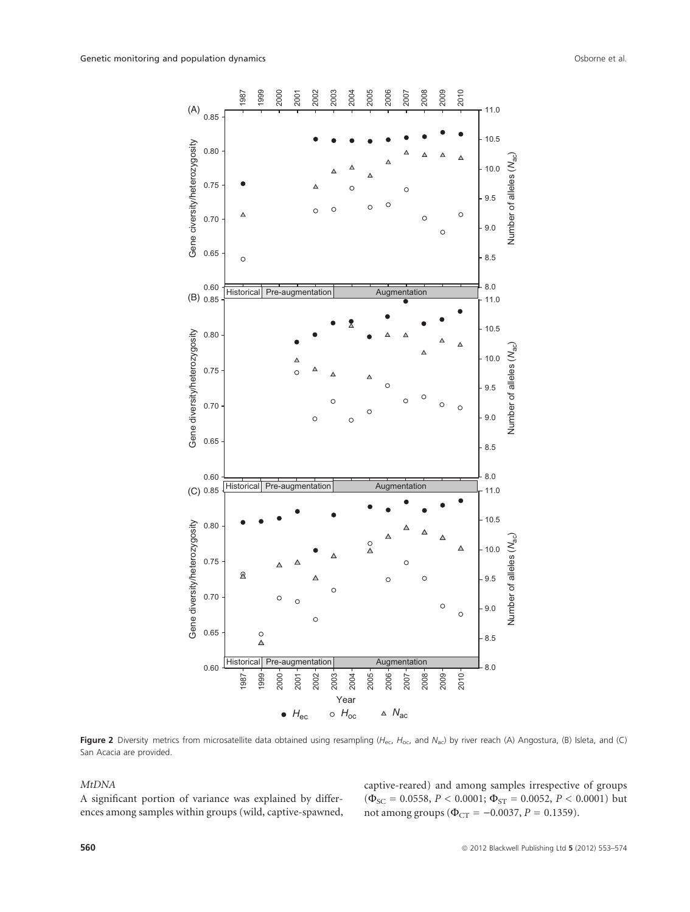

Figure 2 Diversity metrics from microsatellite data obtained using resampling ( $H_{ec}$ ,  $H_{oc}$ , and  $N_{ac}$ ) by river reach (A) Angostura, (B) Isleta, and (C) San Acacia are provided.

# MtDNA

A significant portion of variance was explained by differences among samples within groups (wild, captive-spawned, captive-reared) and among samples irrespective of groups  $(\Phi_{SC} = 0.0558, P < 0.0001; \Phi_{ST} = 0.0052, P < 0.0001)$  but not among groups ( $\Phi_{CT} = -0.0037$ ,  $P = 0.1359$ ).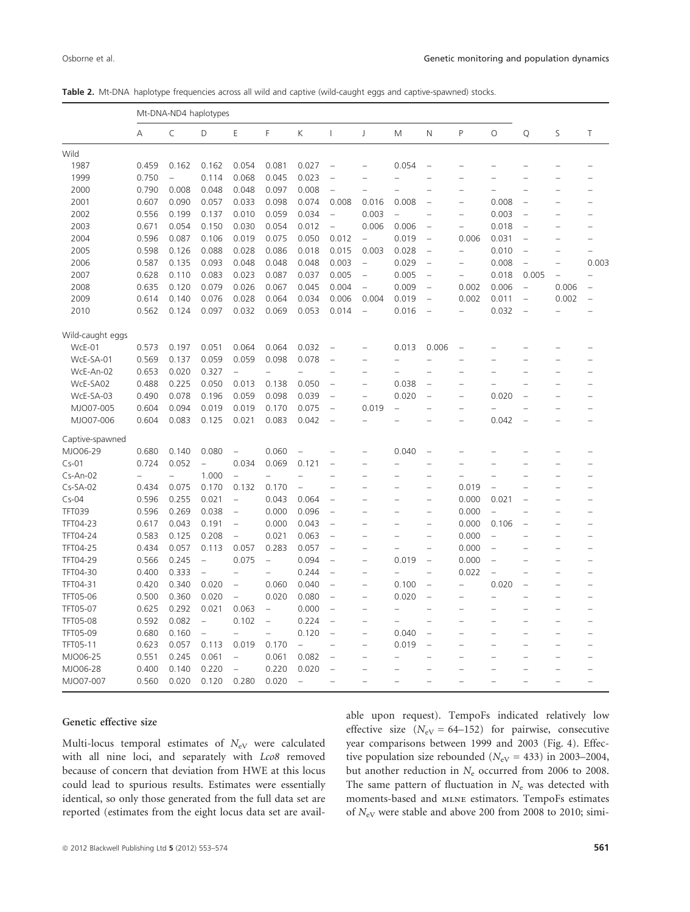|                  | Mt-DNA-ND4 haplotypes |                   |                          |                          |                          |                          |                          |                          |       |                          |                          |                          |                          |                          |                          |
|------------------|-----------------------|-------------------|--------------------------|--------------------------|--------------------------|--------------------------|--------------------------|--------------------------|-------|--------------------------|--------------------------|--------------------------|--------------------------|--------------------------|--------------------------|
|                  | А                     | C                 | D                        | Ε                        | F                        | К                        | $\overline{\phantom{a}}$ | J                        | М     | Ν                        | P                        | O                        | Q                        | S                        | Τ                        |
| Wild             |                       |                   |                          |                          |                          |                          |                          |                          |       |                          |                          |                          |                          |                          |                          |
| 1987             | 0.459                 | 0.162             | 0.162                    | 0.054                    | 0.081                    | 0.027                    | $\equiv$                 |                          | 0.054 |                          |                          |                          |                          |                          |                          |
| 1999             | 0.750                 | $\qquad \qquad -$ | 0.114                    | 0.068                    | 0.045                    | 0.023                    | $\qquad \qquad -$        | $\overline{\phantom{0}}$ |       |                          | $\overline{\phantom{0}}$ | -                        |                          |                          |                          |
| 2000             | 0.790                 | 0.008             | 0.048                    | 0.048                    | 0.097                    | 0.008                    | $\overline{\phantom{0}}$ |                          |       |                          |                          |                          |                          |                          |                          |
| 2001             | 0.607                 | 0.090             | 0.057                    | 0.033                    | 0.098                    | 0.074                    | 0.008                    | 0.016                    | 0.008 |                          | $\overline{\phantom{0}}$ | 0.008                    | $\overline{\phantom{a}}$ |                          |                          |
| 2002             | 0.556                 | 0.199             | 0.137                    | 0.010                    | 0.059                    | 0.034                    | $\qquad \qquad -$        | 0.003                    |       |                          | $\overline{\phantom{0}}$ | 0.003                    | $\overline{\phantom{0}}$ |                          |                          |
| 2003             | 0.671                 | 0.054             | 0.150                    | 0.030                    | 0.054                    | 0.012                    | $\qquad \qquad -$        | 0.006                    | 0.006 | $\overline{\phantom{0}}$ | $\overline{\phantom{0}}$ | 0.018                    | $\overline{\phantom{0}}$ |                          |                          |
| 2004             | 0.596                 | 0.087             | 0.106                    | 0.019                    | 0.075                    | 0.050                    | 0.012                    | $\overline{\phantom{0}}$ | 0.019 | $\overline{\phantom{a}}$ | 0.006                    | 0.031                    | $\equiv$                 |                          |                          |
| 2005             | 0.598                 | 0.126             | 0.088                    | 0.028                    | 0.086                    | 0.018                    | 0.015                    | 0.003                    | 0.028 | $\overline{\phantom{a}}$ | $\equiv$                 | 0.010                    | $\overline{a}$           | $\overline{\phantom{0}}$ | $\equiv$                 |
| 2006             | 0.587                 | 0.135             | 0.093                    | 0.048                    | 0.048                    | 0.048                    | 0.003                    | $\overline{\phantom{0}}$ | 0.029 | $\qquad \qquad -$        | $\overline{\phantom{0}}$ | 0.008                    | $\equiv$                 | L.                       | 0.003                    |
| 2007             | 0.628                 | 0.110             | 0.083                    | 0.023                    | 0.087                    | 0.037                    | 0.005                    | $\overline{\phantom{0}}$ | 0.005 | $\qquad \qquad -$        | $\equiv$                 | 0.018                    | 0.005                    |                          | $\overline{\phantom{0}}$ |
| 2008             | 0.635                 | 0.120             | 0.079                    | 0.026                    | 0.067                    | 0.045                    | 0.004                    | $\equiv$                 | 0.009 | $\overline{\phantom{m}}$ | 0.002                    | 0.006                    | $\overline{\phantom{0}}$ | 0.006                    | $\equiv$                 |
| 2009             | 0.614                 | 0.140             | 0.076                    | 0.028                    | 0.064                    | 0.034                    | 0.006                    | 0.004                    | 0.019 | $\qquad \qquad -$        | 0.002                    | 0.011                    | $\equiv$                 | 0.002                    | $\overline{\phantom{0}}$ |
| 2010             | 0.562                 | 0.124             | 0.097                    | 0.032                    | 0.069                    | 0.053                    | 0.014                    | $\equiv$                 | 0.016 | $\overline{\phantom{a}}$ | $\overline{\phantom{0}}$ | 0.032                    | $\overline{\phantom{0}}$ |                          | $\overline{\phantom{0}}$ |
| Wild-caught eggs |                       |                   |                          |                          |                          |                          |                          |                          |       |                          |                          |                          |                          |                          |                          |
| WcE-01           | 0.573                 | 0.197             | 0.051                    | 0.064                    | 0.064                    | 0.032                    | $\overline{\phantom{a}}$ |                          | 0.013 | 0.006                    |                          |                          |                          |                          |                          |
| WcE-SA-01        | 0.569                 | 0.137             | 0.059                    | 0.059                    | 0.098                    | 0.078                    | ÷,                       | ÷                        |       | $\overline{\phantom{a}}$ |                          |                          |                          |                          |                          |
| WcE-An-02        | 0.653                 | 0.020             | 0.327                    | $\overline{\phantom{a}}$ | $=$                      | $\overline{\phantom{0}}$ |                          |                          |       |                          |                          |                          |                          |                          |                          |
| WcE-SA02         | 0.488                 | 0.225             | 0.050                    | 0.013                    | 0.138                    | 0.050                    |                          |                          | 0.038 |                          |                          |                          |                          |                          |                          |
| WcE-SA-03        | 0.490                 | 0.078             | 0.196                    | 0.059                    | 0.098                    | 0.039                    | $\overline{\phantom{0}}$ | $\qquad \qquad -$        | 0.020 |                          | $\overline{\phantom{0}}$ | 0.020                    |                          |                          |                          |
| MJO07-005        | 0.604                 | 0.094             | 0.019                    | 0.019                    | 0.170                    | 0.075                    | $\frac{1}{2}$            | 0.019                    |       |                          |                          |                          |                          |                          |                          |
| MJO07-006        | 0.604                 | 0.083             | 0.125                    | 0.021                    | 0.083                    | 0.042                    | $\overline{\phantom{a}}$ | $\overline{\phantom{0}}$ |       |                          | $\overline{\phantom{0}}$ | 0.042                    | $\overline{\phantom{a}}$ |                          | $\overline{\phantom{0}}$ |
| Captive-spawned  |                       |                   |                          |                          |                          |                          |                          |                          |       |                          |                          |                          |                          |                          |                          |
| MJO06-29         | 0.680                 | 0.140             | 0.080                    | $\overline{\phantom{0}}$ | 0.060                    | $\overline{\phantom{0}}$ |                          | $\overline{\phantom{0}}$ | 0.040 | $\overline{\phantom{0}}$ |                          |                          |                          |                          |                          |
| $Cs-01$          | 0.724                 | 0.052             | $\equiv$                 | 0.034                    | 0.069                    | 0.121                    |                          |                          |       |                          |                          |                          |                          |                          | $\equiv$                 |
| $Cs - An - 02$   | $\overline{a}$        | $\equiv$          | 1.000                    | $\overline{\phantom{a}}$ | $\overline{\phantom{a}}$ | $\overline{a}$           | $\equiv$                 | L.                       |       |                          | $\overline{\phantom{0}}$ | $\overline{\phantom{0}}$ | L.                       |                          | L.                       |
| $Cs-SA-02$       | 0.434                 | 0.075             | 0.170                    | 0.132                    | 0.170                    | $\overline{a}$           |                          |                          |       |                          | 0.019                    | $\equiv$                 |                          |                          |                          |
| $Cs-04$          | 0.596                 | 0.255             | 0.021                    | $\frac{1}{2}$            | 0.043                    | 0.064                    | $\overline{a}$           |                          |       | $\overline{\phantom{0}}$ | 0.000                    | 0.021                    | L.                       |                          |                          |
| <b>TFT039</b>    | 0.596                 | 0.269             | 0.038                    | $\overline{a}$           | 0.000                    | 0.096                    | $\equiv$                 |                          |       | $\overline{\phantom{0}}$ | 0.000                    | $\equiv$                 | $\overline{\phantom{0}}$ | -                        | $\equiv$                 |
| TFT04-23         | 0.617                 | 0.043             | 0.191                    | $\overline{a}$           | 0.000                    | 0.043                    | $\qquad \qquad -$        |                          |       |                          | 0.000                    | 0.106                    | L.                       |                          |                          |
| TFT04-24         | 0.583                 | 0.125             | 0.208                    | $\overline{\phantom{0}}$ | 0.021                    | 0.063                    | $\qquad \qquad -$        | L.                       |       | $\overline{\phantom{0}}$ | 0.000                    | $\equiv$                 |                          |                          |                          |
| TFT04-25         | 0.434                 | 0.057             | 0.113                    | 0.057                    | 0.283                    | 0.057                    | $\overline{\phantom{a}}$ |                          |       |                          | 0.000                    | $\overline{a}$           |                          |                          |                          |
| TFT04-29         | 0.566                 | 0.245             | $\overline{\phantom{0}}$ | 0.075                    | $\overline{\phantom{0}}$ | 0.094                    | $\overline{\phantom{a}}$ | $\qquad \qquad -$        | 0.019 | $\overline{\phantom{0}}$ | 0.000                    | $\equiv$                 | -                        |                          |                          |
| TFT04-30         | 0.400                 | 0.333             | $\overline{\phantom{0}}$ | $\overline{\phantom{0}}$ | $\overline{\phantom{0}}$ | 0.244                    | $\overline{\phantom{0}}$ | $\overline{\phantom{0}}$ |       | $\overline{\phantom{0}}$ | 0.022                    | Ē,                       | $\overline{\phantom{0}}$ | -                        | $\overline{\phantom{0}}$ |
| TFT04-31         | 0.420                 | 0.340             | 0.020                    | $\overline{\phantom{a}}$ | 0.060                    | 0.040                    | $\equiv$                 | $\equiv$                 | 0.100 | $\overline{\phantom{0}}$ | $\overline{\phantom{0}}$ | 0.020                    | $\overline{\phantom{0}}$ |                          |                          |
| TFT05-06         | 0.500                 | 0.360             | 0.020                    |                          | 0.020                    | 0.080                    | $\overline{\phantom{a}}$ | $\overline{\phantom{0}}$ | 0.020 |                          |                          |                          |                          |                          |                          |
| TFT05-07         | 0.625                 | 0.292             | 0.021                    | 0.063                    | $\qquad \qquad -$        | 0.000                    | $\overline{\phantom{a}}$ | $\overline{\phantom{0}}$ |       |                          |                          |                          |                          |                          |                          |
| TFT05-08         | 0.592                 | 0.082             | $\overline{\phantom{0}}$ | 0.102                    | $\equiv$                 | 0.224                    | $\overline{\phantom{a}}$ | $\overline{\phantom{0}}$ |       |                          |                          |                          |                          |                          |                          |
| TFT05-09         | 0.680                 | 0.160             | L.                       |                          |                          | 0.120                    | $\sim$                   | L.                       | 0.040 |                          |                          |                          |                          |                          |                          |
| TFT05-11         | 0.623                 | 0.057             | 0.113                    | 0.019                    | 0.170                    | $\overline{\phantom{0}}$ |                          | $\overline{\phantom{0}}$ | 0.019 |                          |                          |                          |                          |                          |                          |
| MJO06-25         | 0.551                 | 0.245             | 0.061                    | $\qquad \qquad -$        | 0.061                    | 0.082                    |                          |                          |       |                          |                          |                          |                          |                          |                          |
| MJO06-28         | 0.400                 | 0.140             | 0.220                    | $\overline{\phantom{a}}$ | 0.220                    | 0.020                    |                          |                          |       |                          |                          |                          |                          |                          |                          |
| MJO07-007        | 0.560                 | 0.020             | 0.120                    | 0.280                    | 0.020                    | $\overline{\phantom{0}}$ |                          |                          |       |                          |                          |                          |                          |                          |                          |

Table 2. Mt-DNA haplotype frequencies across all wild and captive (wild-caught eggs and captive-spawned) stocks.

# Genetic effective size

Multi-locus temporal estimates of  $N_{\rm eV}$  were calculated with all nine loci, and separately with Lco8 removed because of concern that deviation from HWE at this locus could lead to spurious results. Estimates were essentially identical, so only those generated from the full data set are reported (estimates from the eight locus data set are available upon request). TempoFs indicated relatively low effective size  $(N_{\rm eV} = 64{\text -}152)$  for pairwise, consecutive year comparisons between 1999 and 2003 (Fig. 4). Effective population size rebounded ( $N_{\text{eV}}$  = 433) in 2003–2004, but another reduction in  $N_e$  occurred from 2006 to 2008. The same pattern of fluctuation in  $N_e$  was detected with moments-based and MLNE estimators. TempoFs estimates of  $N_{\rm eV}$  were stable and above 200 from 2008 to 2010; simi-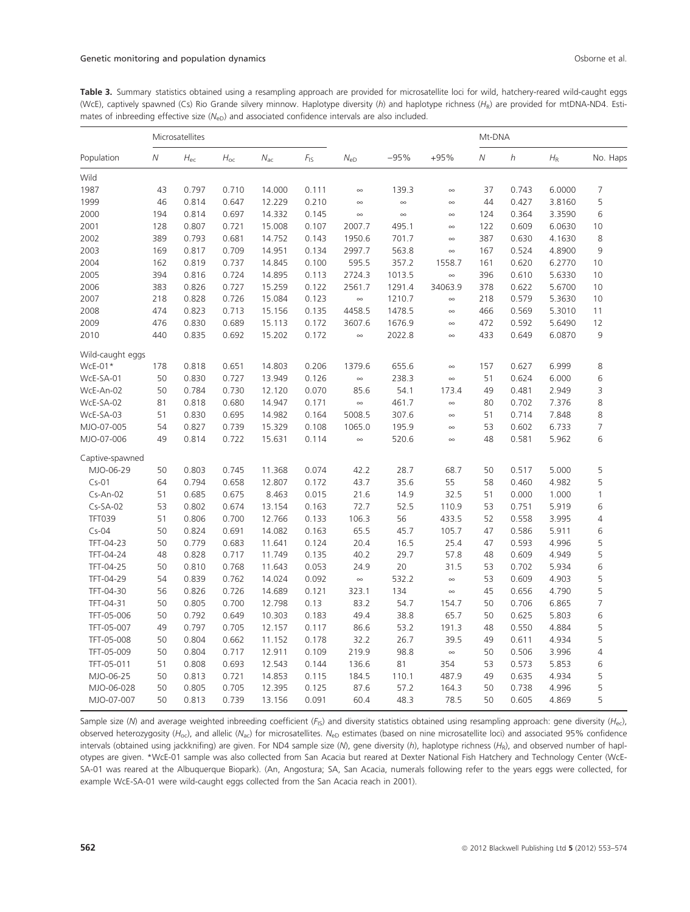Table 3. Summary statistics obtained using a resampling approach are provided for microsatellite loci for wild, hatchery-reared wild-caught eggs (WcE), captively spawned (Cs) Rio Grande silvery minnow. Haplotype diversity (h) and haplotype richness (HR) are provided for mtDNA-ND4. Estimates of inbreeding effective size  $(N_{eD})$  and associated confidence intervals are also included.

| Population       |            | Microsatellites |              |              |              |              |          |          | Mt-DNA |       |         |                |
|------------------|------------|-----------------|--------------|--------------|--------------|--------------|----------|----------|--------|-------|---------|----------------|
|                  | ${\cal N}$ | $H_{ec}$        | $H_{\rm oc}$ | $N_{\rm ac}$ | $F_{\rm IS}$ | $N_{\rm eD}$ | $-95%$   | +95%     | Ν      | h     | $H_{R}$ | No. Haps       |
| Wild             |            |                 |              |              |              |              |          |          |        |       |         |                |
| 1987             | 43         | 0.797           | 0.710        | 14.000       | 0.111        | $\infty$     | 139.3    | $\infty$ | 37     | 0.743 | 6.0000  | $\overline{7}$ |
| 1999             | 46         | 0.814           | 0.647        | 12.229       | 0.210        | $\infty$     | $\infty$ | $\infty$ | 44     | 0.427 | 3.8160  | 5              |
| 2000             | 194        | 0.814           | 0.697        | 14.332       | 0.145        | $\infty$     | $\infty$ | $\infty$ | 124    | 0.364 | 3.3590  | 6              |
| 2001             | 128        | 0.807           | 0.721        | 15.008       | 0.107        | 2007.7       | 495.1    | $\infty$ | 122    | 0.609 | 6.0630  | 10             |
| 2002             | 389        | 0.793           | 0.681        | 14.752       | 0.143        | 1950.6       | 701.7    | $\infty$ | 387    | 0.630 | 4.1630  | 8              |
| 2003             | 169        | 0.817           | 0.709        | 14.951       | 0.134        | 2997.7       | 563.8    | $\infty$ | 167    | 0.524 | 4.8900  | 9              |
| 2004             | 162        | 0.819           | 0.737        | 14.845       | 0.100        | 595.5        | 357.2    | 1558.7   | 161    | 0.620 | 6.2770  | 10             |
| 2005             | 394        | 0.816           | 0.724        | 14.895       | 0.113        | 2724.3       | 1013.5   | $\infty$ | 396    | 0.610 | 5.6330  | 10             |
| 2006             | 383        | 0.826           | 0.727        | 15.259       | 0.122        | 2561.7       | 1291.4   | 34063.9  | 378    | 0.622 | 5.6700  | 10             |
| 2007             | 218        | 0.828           | 0.726        | 15.084       | 0.123        | $\infty$     | 1210.7   | $\infty$ | 218    | 0.579 | 5.3630  | 10             |
| 2008             | 474        | 0.823           | 0.713        | 15.156       | 0.135        | 4458.5       | 1478.5   | $\infty$ | 466    | 0.569 | 5.3010  | 11             |
| 2009             | 476        | 0.830           | 0.689        | 15.113       | 0.172        | 3607.6       | 1676.9   | $\infty$ | 472    | 0.592 | 5.6490  | 12             |
| 2010             | 440        | 0.835           | 0.692        | 15.202       | 0.172        | $\infty$     | 2022.8   | $\infty$ | 433    | 0.649 | 6.0870  | 9              |
| Wild-caught eggs |            |                 |              |              |              |              |          |          |        |       |         |                |
| $WcE-01*$        | 178        | 0.818           | 0.651        | 14.803       | 0.206        | 1379.6       | 655.6    | $\infty$ | 157    | 0.627 | 6.999   | 8              |
| WcE-SA-01        | 50         | 0.830           | 0.727        | 13.949       | 0.126        | $\infty$     | 238.3    | $\infty$ | 51     | 0.624 | 6.000   | 6              |
| WcE-An-02        | 50         | 0.784           | 0.730        | 12.120       | 0.070        | 85.6         | 54.1     | 173.4    | 49     | 0.481 | 2.949   | 3              |
| WcE-SA-02        | 81         | 0.818           | 0.680        | 14.947       | 0.171        | $\infty$     | 461.7    | $\infty$ | 80     | 0.702 | 7.376   | 8              |
| WcE-SA-03        | 51         | 0.830           | 0.695        | 14.982       | 0.164        | 5008.5       | 307.6    | $\infty$ | 51     | 0.714 | 7.848   | 8              |
| MJO-07-005       | 54         | 0.827           | 0.739        | 15.329       | 0.108        | 1065.0       | 195.9    | $\infty$ | 53     | 0.602 | 6.733   | $\overline{7}$ |
| MJO-07-006       | 49         | 0.814           | 0.722        | 15.631       | 0.114        | $\infty$     | 520.6    | $\infty$ | 48     | 0.581 | 5.962   | 6              |
| Captive-spawned  |            |                 |              |              |              |              |          |          |        |       |         |                |
| MJO-06-29        | 50         | 0.803           | 0.745        | 11.368       | 0.074        | 42.2         | 28.7     | 68.7     | 50     | 0.517 | 5.000   | 5              |
| $Cs-01$          | 64         | 0.794           | 0.658        | 12.807       | 0.172        | 43.7         | 35.6     | 55       | 58     | 0.460 | 4.982   | 5              |
| $Cs-An-02$       | 51         | 0.685           | 0.675        | 8.463        | 0.015        | 21.6         | 14.9     | 32.5     | 51     | 0.000 | 1.000   | $\mathbf{1}$   |
| $Cs-SA-02$       | 53         | 0.802           | 0.674        | 13.154       | 0.163        | 72.7         | 52.5     | 110.9    | 53     | 0.751 | 5.919   | 6              |
| <b>TFT039</b>    | 51         | 0.806           | 0.700        | 12.766       | 0.133        | 106.3        | 56       | 433.5    | 52     | 0.558 | 3.995   | $\overline{4}$ |
| $Cs-04$          | 50         | 0.824           | 0.691        | 14.082       | 0.163        | 65.5         | 45.7     | 105.7    | 47     | 0.586 | 5.911   | 6              |
| TFT-04-23        | 50         | 0.779           | 0.683        | 11.641       | 0.124        | 20.4         | 16.5     | 25.4     | 47     | 0.593 | 4.996   | 5              |
| TFT-04-24        | 48         | 0.828           | 0.717        | 11.749       | 0.135        | 40.2         | 29.7     | 57.8     | 48     | 0.609 | 4.949   | 5              |
| TFT-04-25        | 50         | 0.810           | 0.768        | 11.643       | 0.053        | 24.9         | 20       | 31.5     | 53     | 0.702 | 5.934   | 6              |
| TFT-04-29        | 54         | 0.839           | 0.762        | 14.024       | 0.092        | $\infty$     | 532.2    | $\infty$ | 53     | 0.609 | 4.903   | 5              |
| TFT-04-30        | 56         | 0.826           | 0.726        | 14.689       | 0.121        | 323.1        | 134      | $\infty$ | 45     | 0.656 | 4.790   | 5              |
| TFT-04-31        | 50         | 0.805           | 0.700        | 12.798       | 0.13         | 83.2         | 54.7     | 154.7    | 50     | 0.706 | 6.865   | $\overline{7}$ |
| TFT-05-006       | 50         | 0.792           | 0.649        | 10.303       | 0.183        | 49.4         | 38.8     | 65.7     | 50     | 0.625 | 5.803   | 6              |
| TFT-05-007       | 49         | 0.797           | 0.705        | 12.157       | 0.117        | 86.6         | 53.2     | 191.3    | 48     | 0.550 | 4.884   | 5              |
| TFT-05-008       | 50         | 0.804           | 0.662        | 11.152       | 0.178        | 32.2         | 26.7     | 39.5     | 49     | 0.611 | 4.934   | 5              |
| TFT-05-009       | 50         | 0.804           | 0.717        | 12.911       | 0.109        | 219.9        | 98.8     | $\infty$ | 50     | 0.506 | 3.996   | $\overline{4}$ |
| TFT-05-011       | 51         | 0.808           | 0.693        | 12.543       | 0.144        | 136.6        | 81       | 354      | 53     | 0.573 | 5.853   | 6              |
| MJO-06-25        | 50         | 0.813           | 0.721        | 14.853       | 0.115        | 184.5        | 110.1    | 487.9    | 49     | 0.635 | 4.934   | 5              |
| MJO-06-028       | 50         | 0.805           | 0.705        | 12.395       | 0.125        | 87.6         | 57.2     | 164.3    | 50     | 0.738 | 4.996   | 5              |
| MJO-07-007       | 50         | 0.813           | 0.739        | 13.156       | 0.091        | 60.4         | 48.3     | 78.5     | 50     | 0.605 | 4.869   | 5              |

Sample size (M) and average weighted inbreeding coefficient ( $F_{1S}$ ) and diversity statistics obtained using resampling approach: gene diversity ( $H_{ec}$ ), observed heterozygosity ( $H_{oc}$ ), and allelic ( $N_{ac}$ ) for microsatellites.  $N_{eD}$  estimates (based on nine microsatellite loci) and associated 95% confidence intervals (obtained using jackknifing) are given. For ND4 sample size (N), gene diversity (h), haplotype richness (H<sub>R</sub>), and observed number of haplotypes are given. \*WcE-01 sample was also collected from San Acacia but reared at Dexter National Fish Hatchery and Technology Center (WcE-SA-01 was reared at the Albuquerque Biopark). (An, Angostura; SA, San Acacia, numerals following refer to the years eggs were collected, for example WcE-SA-01 were wild-caught eggs collected from the San Acacia reach in 2001).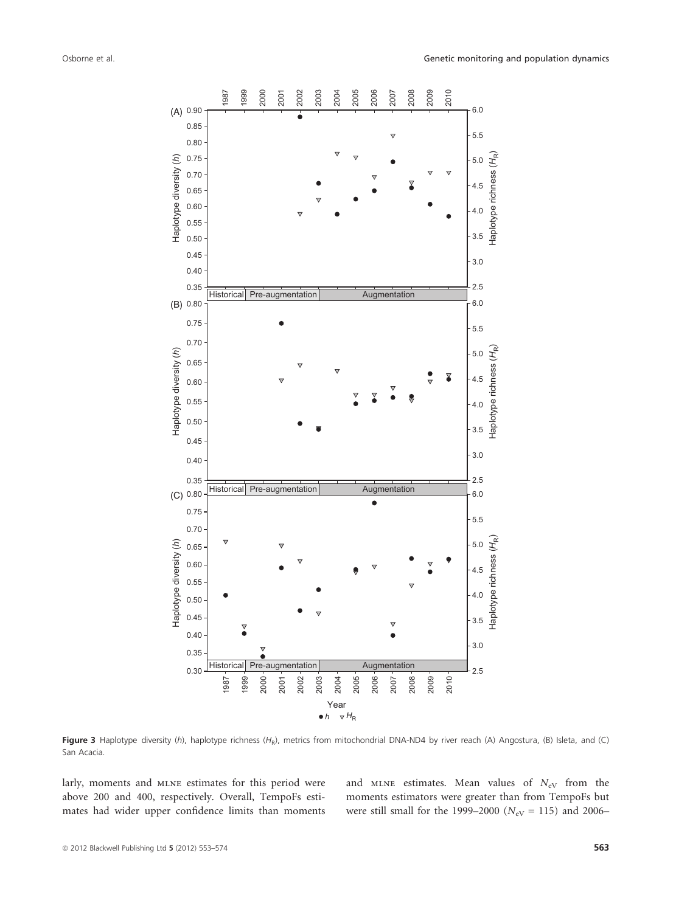

Figure 3 Haplotype diversity (h), haplotype richness ( $H_R$ ), metrics from mitochondrial DNA-ND4 by river reach (A) Angostura, (B) Isleta, and (C) San Acacia.

larly, moments and MLNE estimates for this period were above 200 and 400, respectively. Overall, TempoFs estimates had wider upper confidence limits than moments and MLNE estimates. Mean values of  $N_{\text{eV}}$  from the moments estimators were greater than from TempoFs but were still small for the 1999–2000 ( $N_{\rm eV}$  = 115) and 2006–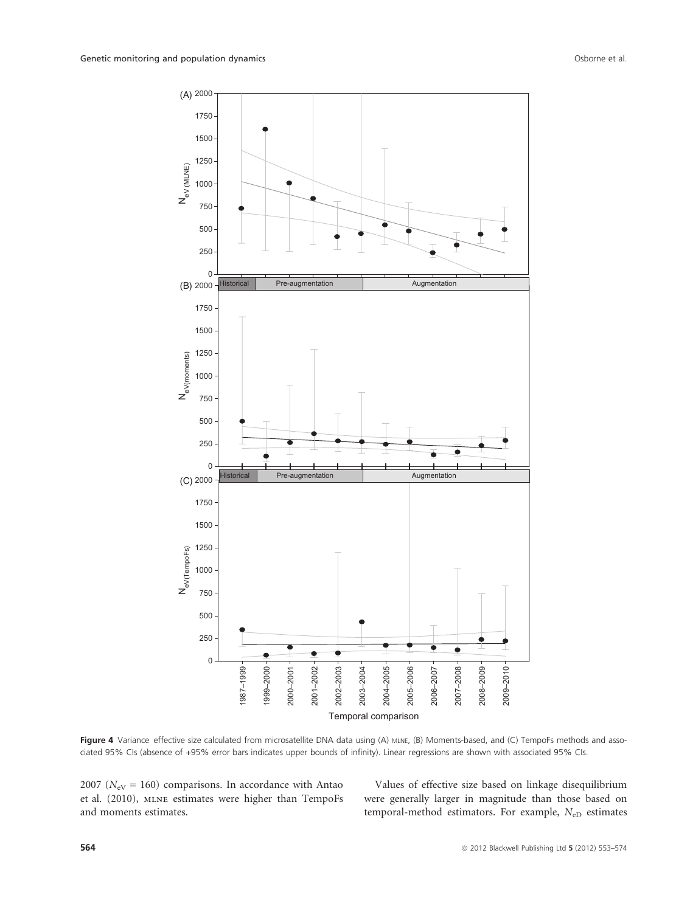

Figure 4 Variance effective size calculated from microsatellite DNA data using (A) MLNE, (B) Moments-based, and (C) TempoFs methods and associated 95% CIs (absence of +95% error bars indicates upper bounds of infinity). Linear regressions are shown with associated 95% CIs.

2007 ( $N_{\text{eV}}$  = 160) comparisons. In accordance with Antao et al. (2010), mlne estimates were higher than TempoFs and moments estimates.

Values of effective size based on linkage disequilibrium were generally larger in magnitude than those based on temporal-method estimators. For example,  $N_{eD}$  estimates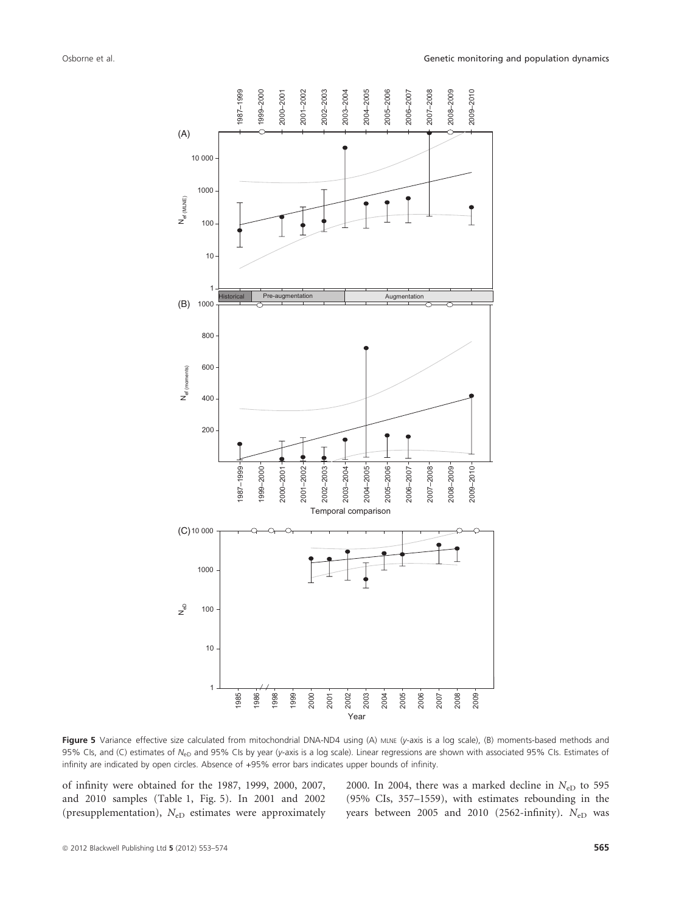

Figure 5 Variance effective size calculated from mitochondrial DNA-ND4 using (A) MLNE (y-axis is a log scale), (B) moments-based methods and 95% CIs, and (C) estimates of  $N_{eD}$  and 95% CIs by year (y-axis is a log scale). Linear regressions are shown with associated 95% CIs. Estimates of infinity are indicated by open circles. Absence of +95% error bars indicates upper bounds of infinity.

of infinity were obtained for the 1987, 1999, 2000, 2007, and 2010 samples (Table 1, Fig. 5). In 2001 and 2002 (presupplementation),  $N_{\rm eD}$  estimates were approximately 2000. In 2004, there was a marked decline in  $N_{eD}$  to 595 (95% CIs, 357–1559), with estimates rebounding in the years between 2005 and 2010 (2562-infinity).  $N_{\rm eD}$  was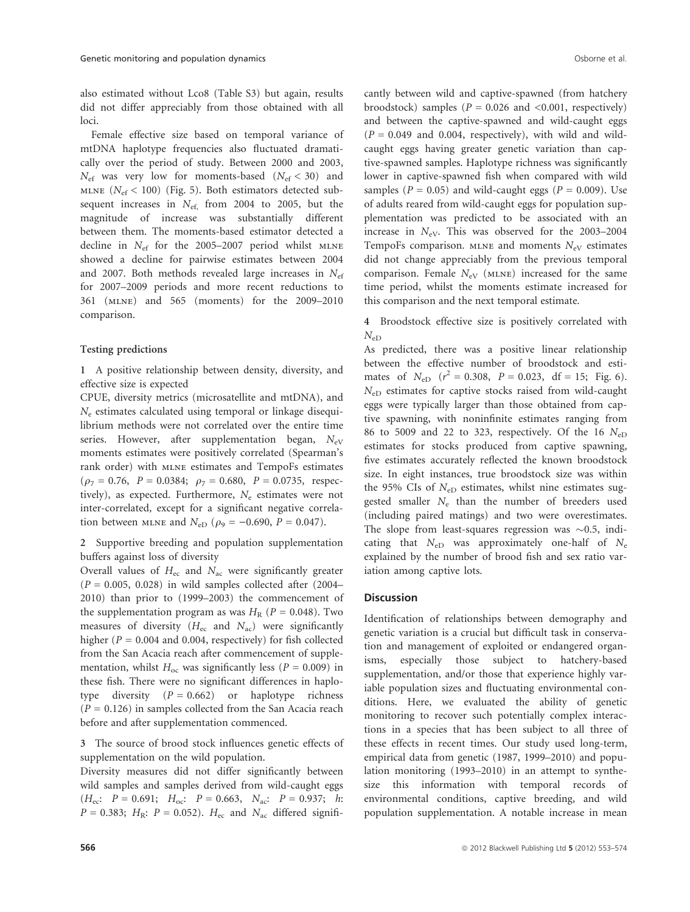also estimated without Lco8 (Table S3) but again, results did not differ appreciably from those obtained with all loci.

Female effective size based on temporal variance of mtDNA haplotype frequencies also fluctuated dramatically over the period of study. Between 2000 and 2003,  $N_{\text{ef}}$  was very low for moments-based  $(N_{\text{ef}} < 30)$  and MLNE  $(N_{\text{ef}} < 100)$  (Fig. 5). Both estimators detected subsequent increases in  $N_{\text{ef}}$  from 2004 to 2005, but the magnitude of increase was substantially different between them. The moments-based estimator detected a decline in  $N_{\text{ef}}$  for the 2005–2007 period whilst MLNE showed a decline for pairwise estimates between 2004 and 2007. Both methods revealed large increases in  $N_{\text{ef}}$ for 2007–2009 periods and more recent reductions to 361 (mlne) and 565 (moments) for the 2009–2010 comparison.

#### Testing predictions

1 A positive relationship between density, diversity, and effective size is expected

CPUE, diversity metrics (microsatellite and mtDNA), and  $N_e$  estimates calculated using temporal or linkage disequilibrium methods were not correlated over the entire time series. However, after supplementation began,  $N_{\rm eV}$ moments estimates were positively correlated (Spearman's rank order) with MLNE estimates and TempoFs estimates  $(\rho_7 = 0.76, P = 0.0384; \rho_7 = 0.680, P = 0.0735, respec$ tively), as expected. Furthermore,  $N_e$  estimates were not inter-correlated, except for a significant negative correlation between MLNE and  $N_{eD}$  ( $\rho_9 = -0.690$ ,  $P = 0.047$ ).

2 Supportive breeding and population supplementation buffers against loss of diversity

Overall values of  $H_{\text{ec}}$  and  $N_{\text{ac}}$  were significantly greater  $(P = 0.005, 0.028)$  in wild samples collected after  $(2004 -$ 2010) than prior to (1999–2003) the commencement of the supplementation program as was  $H_R$  ( $P = 0.048$ ). Two measures of diversity ( $H_{ec}$  and  $N_{ac}$ ) were significantly higher ( $P = 0.004$  and 0.004, respectively) for fish collected from the San Acacia reach after commencement of supplementation, whilst  $H_{\text{oc}}$  was significantly less ( $P = 0.009$ ) in these fish. There were no significant differences in haplotype diversity  $(P = 0.662)$  or haplotype richness  $(P = 0.126)$  in samples collected from the San Acacia reach before and after supplementation commenced.

3 The source of brood stock influences genetic effects of supplementation on the wild population.

Diversity measures did not differ significantly between wild samples and samples derived from wild-caught eggs  $(H_{\text{ec}}; P = 0.691; H_{\text{oc}}; P = 0.663, N_{\text{ac}}; P = 0.937; h:$  $P = 0.383$ ;  $H_R$ :  $P = 0.052$ ).  $H_{ec}$  and  $N_{ac}$  differed significantly between wild and captive-spawned (from hatchery broodstock) samples ( $P = 0.026$  and <0.001, respectively) and between the captive-spawned and wild-caught eggs  $(P = 0.049$  and 0.004, respectively), with wild and wildcaught eggs having greater genetic variation than captive-spawned samples. Haplotype richness was significantly lower in captive-spawned fish when compared with wild samples ( $P = 0.05$ ) and wild-caught eggs ( $P = 0.009$ ). Use of adults reared from wild-caught eggs for population supplementation was predicted to be associated with an increase in  $N_{\text{eV}}$ . This was observed for the 2003–2004 TempoFs comparison. MLNE and moments  $N_{eV}$  estimates did not change appreciably from the previous temporal comparison. Female  $N_{\rm eV}$  (MLNE) increased for the same time period, whilst the moments estimate increased for this comparison and the next temporal estimate.

4 Broodstock effective size is positively correlated with  $N_{\rm eD}$ 

As predicted, there was a positive linear relationship between the effective number of broodstock and estimates of  $N_{eD}$  ( $r^2 = 0.308$ ,  $P = 0.023$ , df = 15; Fig. 6). NeD estimates for captive stocks raised from wild-caught eggs were typically larger than those obtained from captive spawning, with noninfinite estimates ranging from 86 to 5009 and 22 to 323, respectively. Of the 16  $N_{eD}$ estimates for stocks produced from captive spawning, five estimates accurately reflected the known broodstock size. In eight instances, true broodstock size was within the 95% CIs of  $N_{eD}$  estimates, whilst nine estimates suggested smaller  $N_e$  than the number of breeders used (including paired matings) and two were overestimates. The slope from least-squares regression was  $\sim$ 0.5, indicating that  $N_{eD}$  was approximately one-half of  $N_e$ explained by the number of brood fish and sex ratio variation among captive lots.

### **Discussion**

Identification of relationships between demography and genetic variation is a crucial but difficult task in conservation and management of exploited or endangered organisms, especially those subject to hatchery-based supplementation, and/or those that experience highly variable population sizes and fluctuating environmental conditions. Here, we evaluated the ability of genetic monitoring to recover such potentially complex interactions in a species that has been subject to all three of these effects in recent times. Our study used long-term, empirical data from genetic (1987, 1999–2010) and population monitoring (1993–2010) in an attempt to synthesize this information with temporal records of environmental conditions, captive breeding, and wild population supplementation. A notable increase in mean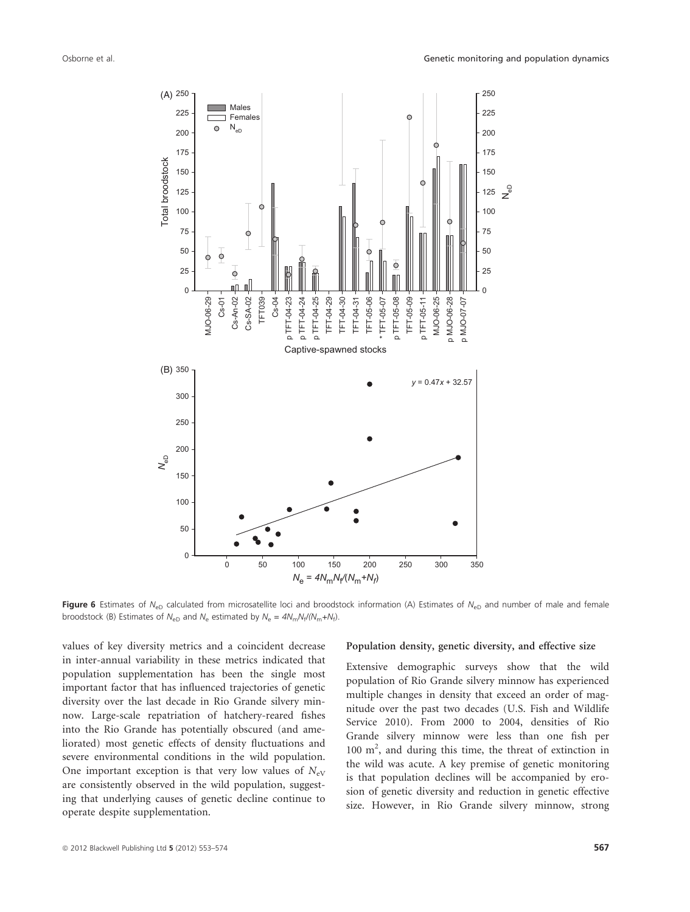

Figure 6 Estimates of N<sub>eD</sub> calculated from microsatellite loci and broodstock information (A) Estimates of N<sub>eD</sub> and number of male and female broodstock (B) Estimates of  $N_{eD}$  and  $N_e$  estimated by  $N_e = 4N_mN_f/(N_m+N_f)$ .

values of key diversity metrics and a coincident decrease in inter-annual variability in these metrics indicated that population supplementation has been the single most important factor that has influenced trajectories of genetic diversity over the last decade in Rio Grande silvery minnow. Large-scale repatriation of hatchery-reared fishes into the Rio Grande has potentially obscured (and ameliorated) most genetic effects of density fluctuations and severe environmental conditions in the wild population. One important exception is that very low values of  $N_{\rm eV}$ are consistently observed in the wild population, suggesting that underlying causes of genetic decline continue to operate despite supplementation.

#### Population density, genetic diversity, and effective size

Extensive demographic surveys show that the wild population of Rio Grande silvery minnow has experienced multiple changes in density that exceed an order of magnitude over the past two decades (U.S. Fish and Wildlife Service 2010). From 2000 to 2004, densities of Rio Grande silvery minnow were less than one fish per 100 m2 , and during this time, the threat of extinction in the wild was acute. A key premise of genetic monitoring is that population declines will be accompanied by erosion of genetic diversity and reduction in genetic effective size. However, in Rio Grande silvery minnow, strong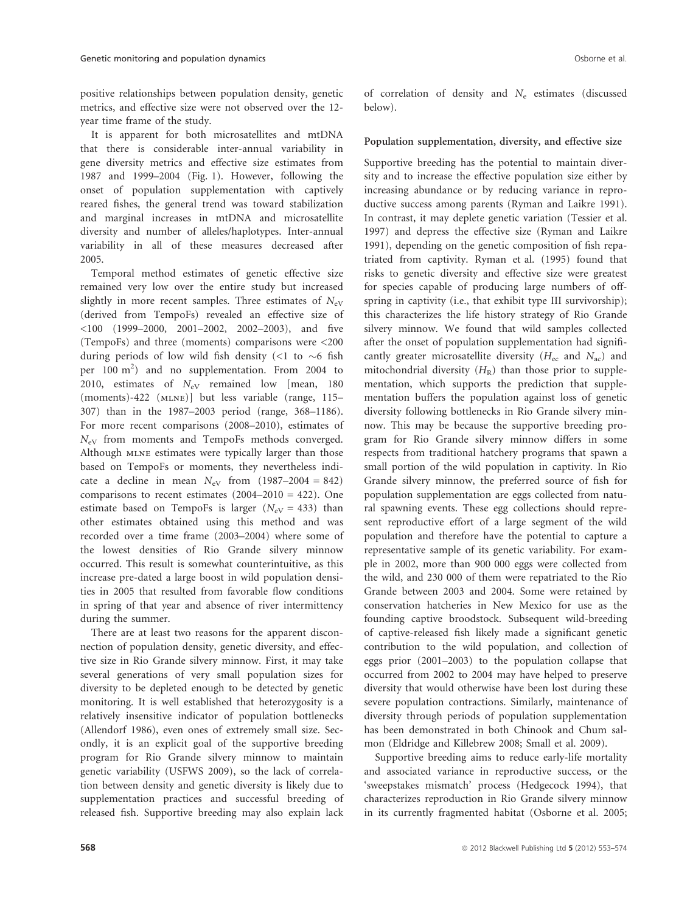positive relationships between population density, genetic metrics, and effective size were not observed over the 12 year time frame of the study.

It is apparent for both microsatellites and mtDNA that there is considerable inter-annual variability in gene diversity metrics and effective size estimates from 1987 and 1999–2004 (Fig. 1). However, following the onset of population supplementation with captively reared fishes, the general trend was toward stabilization and marginal increases in mtDNA and microsatellite diversity and number of alleles/haplotypes. Inter-annual variability in all of these measures decreased after 2005.

Temporal method estimates of genetic effective size remained very low over the entire study but increased slightly in more recent samples. Three estimates of  $N_{eV}$ (derived from TempoFs) revealed an effective size of <100 (1999–2000, 2001–2002, 2002–2003), and five (TempoFs) and three (moments) comparisons were <200 during periods of low wild fish density (<1 to  $\sim$ 6 fish per 100 m<sup>2</sup>) and no supplementation. From 2004 to 2010, estimates of  $N_{\rm eV}$  remained low [mean, 180 (moments)-422 (MLNE)] but less variable (range, 115– 307) than in the 1987–2003 period (range, 368–1186). For more recent comparisons (2008–2010), estimates of NeV from moments and TempoFs methods converged. Although MLNE estimates were typically larger than those based on TempoFs or moments, they nevertheless indicate a decline in mean  $N_{\rm eV}$  from (1987–2004 = 842) comparisons to recent estimates  $(2004–2010 = 422)$ . One estimate based on TempoFs is larger ( $N_{\rm eV}$  = 433) than other estimates obtained using this method and was recorded over a time frame (2003–2004) where some of the lowest densities of Rio Grande silvery minnow occurred. This result is somewhat counterintuitive, as this increase pre-dated a large boost in wild population densities in 2005 that resulted from favorable flow conditions in spring of that year and absence of river intermittency during the summer.

There are at least two reasons for the apparent disconnection of population density, genetic diversity, and effective size in Rio Grande silvery minnow. First, it may take several generations of very small population sizes for diversity to be depleted enough to be detected by genetic monitoring. It is well established that heterozygosity is a relatively insensitive indicator of population bottlenecks (Allendorf 1986), even ones of extremely small size. Secondly, it is an explicit goal of the supportive breeding program for Rio Grande silvery minnow to maintain genetic variability (USFWS 2009), so the lack of correlation between density and genetic diversity is likely due to supplementation practices and successful breeding of released fish. Supportive breeding may also explain lack

of correlation of density and  $N_e$  estimates (discussed below).

## Population supplementation, diversity, and effective size

Supportive breeding has the potential to maintain diversity and to increase the effective population size either by increasing abundance or by reducing variance in reproductive success among parents (Ryman and Laikre 1991). In contrast, it may deplete genetic variation (Tessier et al. 1997) and depress the effective size (Ryman and Laikre 1991), depending on the genetic composition of fish repatriated from captivity. Ryman et al. (1995) found that risks to genetic diversity and effective size were greatest for species capable of producing large numbers of offspring in captivity (i.e., that exhibit type III survivorship); this characterizes the life history strategy of Rio Grande silvery minnow. We found that wild samples collected after the onset of population supplementation had significantly greater microsatellite diversity ( $H_{\text{ec}}$  and  $N_{\text{ac}}$ ) and mitochondrial diversity  $(H_R)$  than those prior to supplementation, which supports the prediction that supplementation buffers the population against loss of genetic diversity following bottlenecks in Rio Grande silvery minnow. This may be because the supportive breeding program for Rio Grande silvery minnow differs in some respects from traditional hatchery programs that spawn a small portion of the wild population in captivity. In Rio Grande silvery minnow, the preferred source of fish for population supplementation are eggs collected from natural spawning events. These egg collections should represent reproductive effort of a large segment of the wild population and therefore have the potential to capture a representative sample of its genetic variability. For example in 2002, more than 900 000 eggs were collected from the wild, and 230 000 of them were repatriated to the Rio Grande between 2003 and 2004. Some were retained by conservation hatcheries in New Mexico for use as the founding captive broodstock. Subsequent wild-breeding of captive-released fish likely made a significant genetic contribution to the wild population, and collection of eggs prior (2001–2003) to the population collapse that occurred from 2002 to 2004 may have helped to preserve diversity that would otherwise have been lost during these severe population contractions. Similarly, maintenance of diversity through periods of population supplementation has been demonstrated in both Chinook and Chum salmon (Eldridge and Killebrew 2008; Small et al. 2009).

Supportive breeding aims to reduce early-life mortality and associated variance in reproductive success, or the 'sweepstakes mismatch' process (Hedgecock 1994), that characterizes reproduction in Rio Grande silvery minnow in its currently fragmented habitat (Osborne et al. 2005;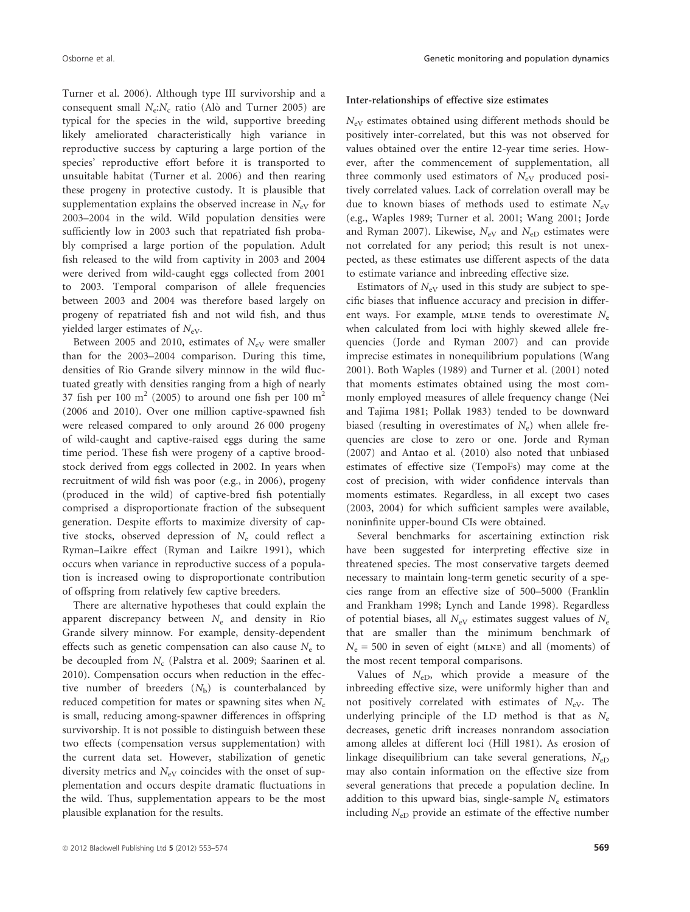Turner et al. 2006). Although type III survivorship and a consequent small  $N_e$ : $N_c$  ratio (Alò and Turner 2005) are typical for the species in the wild, supportive breeding likely ameliorated characteristically high variance in reproductive success by capturing a large portion of the species' reproductive effort before it is transported to unsuitable habitat (Turner et al. 2006) and then rearing these progeny in protective custody. It is plausible that supplementation explains the observed increase in  $N_{eV}$  for 2003–2004 in the wild. Wild population densities were sufficiently low in 2003 such that repatriated fish probably comprised a large portion of the population. Adult fish released to the wild from captivity in 2003 and 2004 were derived from wild-caught eggs collected from 2001 to 2003. Temporal comparison of allele frequencies between 2003 and 2004 was therefore based largely on progeny of repatriated fish and not wild fish, and thus yielded larger estimates of  $N_{\rm eV}$ .

Between 2005 and 2010, estimates of  $N_{\rm eV}$  were smaller than for the 2003–2004 comparison. During this time, densities of Rio Grande silvery minnow in the wild fluctuated greatly with densities ranging from a high of nearly 37 fish per 100 m<sup>2</sup> (2005) to around one fish per 100 m<sup>2</sup> (2006 and 2010). Over one million captive-spawned fish were released compared to only around 26 000 progeny of wild-caught and captive-raised eggs during the same time period. These fish were progeny of a captive broodstock derived from eggs collected in 2002. In years when recruitment of wild fish was poor (e.g., in 2006), progeny (produced in the wild) of captive-bred fish potentially comprised a disproportionate fraction of the subsequent generation. Despite efforts to maximize diversity of captive stocks, observed depression of  $N_e$  could reflect a Ryman–Laikre effect (Ryman and Laikre 1991), which occurs when variance in reproductive success of a population is increased owing to disproportionate contribution of offspring from relatively few captive breeders.

There are alternative hypotheses that could explain the apparent discrepancy between  $N_e$  and density in Rio Grande silvery minnow. For example, density-dependent effects such as genetic compensation can also cause  $N_e$  to be decoupled from  $N_c$  (Palstra et al. 2009; Saarinen et al. 2010). Compensation occurs when reduction in the effective number of breeders  $(N_b)$  is counterbalanced by reduced competition for mates or spawning sites when  $N_c$ is small, reducing among-spawner differences in offspring survivorship. It is not possible to distinguish between these two effects (compensation versus supplementation) with the current data set. However, stabilization of genetic diversity metrics and  $N_{\rm eV}$  coincides with the onset of supplementation and occurs despite dramatic fluctuations in the wild. Thus, supplementation appears to be the most plausible explanation for the results.

## Inter-relationships of effective size estimates

 $N_{\rm eV}$  estimates obtained using different methods should be positively inter-correlated, but this was not observed for values obtained over the entire 12-year time series. However, after the commencement of supplementation, all three commonly used estimators of  $N_{eV}$  produced positively correlated values. Lack of correlation overall may be due to known biases of methods used to estimate  $N_{eV}$ (e.g., Waples 1989; Turner et al. 2001; Wang 2001; Jorde and Ryman 2007). Likewise,  $N_{\rm eV}$  and  $N_{\rm eD}$  estimates were not correlated for any period; this result is not unexpected, as these estimates use different aspects of the data to estimate variance and inbreeding effective size.

Estimators of  $N_{\rm eV}$  used in this study are subject to specific biases that influence accuracy and precision in different ways. For example, MLNE tends to overestimate  $N_e$ when calculated from loci with highly skewed allele frequencies (Jorde and Ryman 2007) and can provide imprecise estimates in nonequilibrium populations (Wang 2001). Both Waples (1989) and Turner et al. (2001) noted that moments estimates obtained using the most commonly employed measures of allele frequency change (Nei and Tajima 1981; Pollak 1983) tended to be downward biased (resulting in overestimates of  $N_e$ ) when allele frequencies are close to zero or one. Jorde and Ryman (2007) and Antao et al. (2010) also noted that unbiased estimates of effective size (TempoFs) may come at the cost of precision, with wider confidence intervals than moments estimates. Regardless, in all except two cases (2003, 2004) for which sufficient samples were available, noninfinite upper-bound CIs were obtained.

Several benchmarks for ascertaining extinction risk have been suggested for interpreting effective size in threatened species. The most conservative targets deemed necessary to maintain long-term genetic security of a species range from an effective size of 500–5000 (Franklin and Frankham 1998; Lynch and Lande 1998). Regardless of potential biases, all  $N_{\rm ev}$  estimates suggest values of  $N_{\rm e}$ that are smaller than the minimum benchmark of  $N_e$  = 500 in seven of eight (MLNE) and all (moments) of the most recent temporal comparisons.

Values of  $N_{eD}$ , which provide a measure of the inbreeding effective size, were uniformly higher than and not positively correlated with estimates of  $N_{\rm eV}$ . The underlying principle of the LD method is that as  $N_e$ decreases, genetic drift increases nonrandom association among alleles at different loci (Hill 1981). As erosion of linkage disequilibrium can take several generations,  $N_{eD}$ may also contain information on the effective size from several generations that precede a population decline. In addition to this upward bias, single-sample  $N_e$  estimators including  $N_{eD}$  provide an estimate of the effective number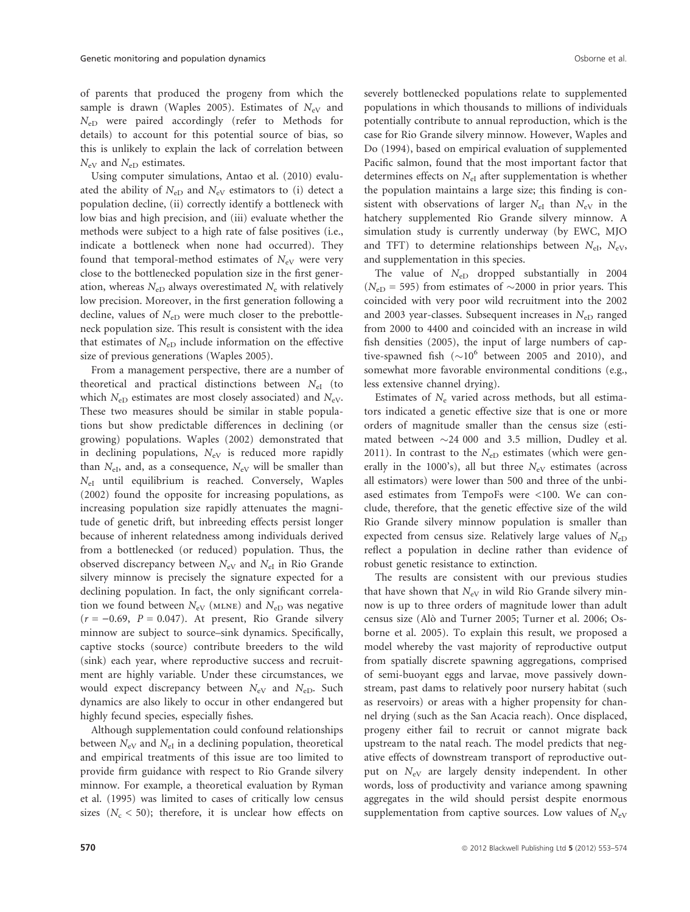of parents that produced the progeny from which the sample is drawn (Waples 2005). Estimates of  $N_{\rm eV}$  and NeD were paired accordingly (refer to Methods for details) to account for this potential source of bias, so this is unlikely to explain the lack of correlation between  $N_{\rm eV}$  and  $N_{\rm eD}$  estimates.

Using computer simulations, Antao et al. (2010) evaluated the ability of  $N_{eD}$  and  $N_{eV}$  estimators to (i) detect a population decline, (ii) correctly identify a bottleneck with low bias and high precision, and (iii) evaluate whether the methods were subject to a high rate of false positives (i.e., indicate a bottleneck when none had occurred). They found that temporal-method estimates of  $N_{eV}$  were very close to the bottlenecked population size in the first generation, whereas  $N_{eD}$  always overestimated  $N_e$  with relatively low precision. Moreover, in the first generation following a decline, values of  $N_{eD}$  were much closer to the prebottleneck population size. This result is consistent with the idea that estimates of  $N_{eD}$  include information on the effective size of previous generations (Waples 2005).

From a management perspective, there are a number of theoretical and practical distinctions between  $N_{\text{eI}}$  (to which  $N_{eD}$  estimates are most closely associated) and  $N_{eV}$ . These two measures should be similar in stable populations but show predictable differences in declining (or growing) populations. Waples (2002) demonstrated that in declining populations,  $N_{\rm ev}$  is reduced more rapidly than  $N_{eI}$ , and, as a consequence,  $N_{eV}$  will be smaller than NeI until equilibrium is reached. Conversely, Waples (2002) found the opposite for increasing populations, as increasing population size rapidly attenuates the magnitude of genetic drift, but inbreeding effects persist longer because of inherent relatedness among individuals derived from a bottlenecked (or reduced) population. Thus, the observed discrepancy between  $N_{\text{eV}}$  and  $N_{\text{eI}}$  in Rio Grande silvery minnow is precisely the signature expected for a declining population. In fact, the only significant correlation we found between  $N_{\text{eV}}$  (MLNE) and  $N_{\text{eD}}$  was negative  $(r = -0.69, P = 0.047)$ . At present, Rio Grande silvery minnow are subject to source–sink dynamics. Specifically, captive stocks (source) contribute breeders to the wild (sink) each year, where reproductive success and recruitment are highly variable. Under these circumstances, we would expect discrepancy between  $N_{\rm eV}$  and  $N_{\rm eD}$ . Such dynamics are also likely to occur in other endangered but highly fecund species, especially fishes.

Although supplementation could confound relationships between  $N_{\rm eV}$  and  $N_{\rm eI}$  in a declining population, theoretical and empirical treatments of this issue are too limited to provide firm guidance with respect to Rio Grande silvery minnow. For example, a theoretical evaluation by Ryman et al. (1995) was limited to cases of critically low census sizes ( $N_c$  < 50); therefore, it is unclear how effects on

severely bottlenecked populations relate to supplemented populations in which thousands to millions of individuals potentially contribute to annual reproduction, which is the case for Rio Grande silvery minnow. However, Waples and Do (1994), based on empirical evaluation of supplemented Pacific salmon, found that the most important factor that determines effects on  $N_{\text{eI}}$  after supplementation is whether the population maintains a large size; this finding is consistent with observations of larger  $N_{\text{eI}}$  than  $N_{\text{eV}}$  in the hatchery supplemented Rio Grande silvery minnow. A simulation study is currently underway (by EWC, MJO and TFT) to determine relationships between  $N_{\rm eI}$ ,  $N_{\rm eV}$ , and supplementation in this species.

The value of  $N_{eD}$  dropped substantially in 2004  $(N_{\rm eD} = 595)$  from estimates of  $\sim$ 2000 in prior years. This coincided with very poor wild recruitment into the 2002 and 2003 year-classes. Subsequent increases in  $N_{eD}$  ranged from 2000 to 4400 and coincided with an increase in wild fish densities (2005), the input of large numbers of captive-spawned fish  $({\sim}10^6$  between 2005 and 2010), and somewhat more favorable environmental conditions (e.g., less extensive channel drying).

Estimates of  $N_e$  varied across methods, but all estimators indicated a genetic effective size that is one or more orders of magnitude smaller than the census size (estimated between  $\sim$  24 000 and 3.5 million, Dudley et al. 2011). In contrast to the  $N_{eD}$  estimates (which were generally in the 1000's), all but three  $N_{\rm eV}$  estimates (across all estimators) were lower than 500 and three of the unbiased estimates from TempoFs were <100. We can conclude, therefore, that the genetic effective size of the wild Rio Grande silvery minnow population is smaller than expected from census size. Relatively large values of  $N_{eD}$ reflect a population in decline rather than evidence of robust genetic resistance to extinction.

The results are consistent with our previous studies that have shown that  $N_{\rm eV}$  in wild Rio Grande silvery minnow is up to three orders of magnitude lower than adult census size (Alò and Turner 2005; Turner et al. 2006; Osborne et al. 2005). To explain this result, we proposed a model whereby the vast majority of reproductive output from spatially discrete spawning aggregations, comprised of semi-buoyant eggs and larvae, move passively downstream, past dams to relatively poor nursery habitat (such as reservoirs) or areas with a higher propensity for channel drying (such as the San Acacia reach). Once displaced, progeny either fail to recruit or cannot migrate back upstream to the natal reach. The model predicts that negative effects of downstream transport of reproductive output on  $N_{\rm eV}$  are largely density independent. In other words, loss of productivity and variance among spawning aggregates in the wild should persist despite enormous supplementation from captive sources. Low values of  $N_{\rm eV}$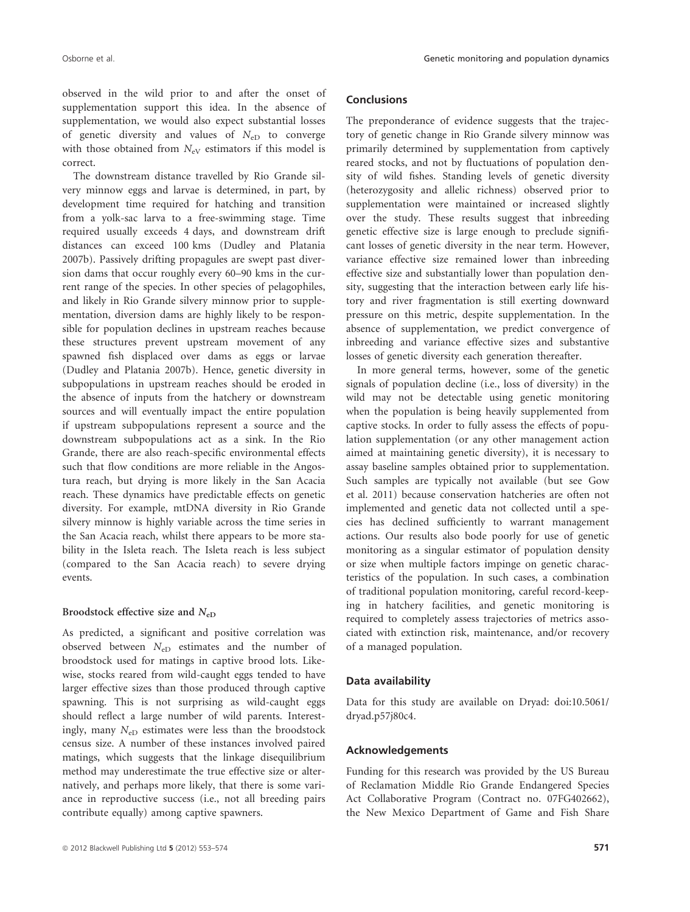observed in the wild prior to and after the onset of supplementation support this idea. In the absence of supplementation, we would also expect substantial losses of genetic diversity and values of  $N_{eD}$  to converge with those obtained from  $N_{eV}$  estimators if this model is correct.

The downstream distance travelled by Rio Grande silvery minnow eggs and larvae is determined, in part, by development time required for hatching and transition from a yolk-sac larva to a free-swimming stage. Time required usually exceeds 4 days, and downstream drift distances can exceed 100 kms (Dudley and Platania 2007b). Passively drifting propagules are swept past diversion dams that occur roughly every 60–90 kms in the current range of the species. In other species of pelagophiles, and likely in Rio Grande silvery minnow prior to supplementation, diversion dams are highly likely to be responsible for population declines in upstream reaches because these structures prevent upstream movement of any spawned fish displaced over dams as eggs or larvae (Dudley and Platania 2007b). Hence, genetic diversity in subpopulations in upstream reaches should be eroded in the absence of inputs from the hatchery or downstream sources and will eventually impact the entire population if upstream subpopulations represent a source and the downstream subpopulations act as a sink. In the Rio Grande, there are also reach-specific environmental effects such that flow conditions are more reliable in the Angostura reach, but drying is more likely in the San Acacia reach. These dynamics have predictable effects on genetic diversity. For example, mtDNA diversity in Rio Grande silvery minnow is highly variable across the time series in the San Acacia reach, whilst there appears to be more stability in the Isleta reach. The Isleta reach is less subject (compared to the San Acacia reach) to severe drying events.

## Broodstock effective size and  $N_{eD}$

As predicted, a significant and positive correlation was observed between  $N_{eD}$  estimates and the number of broodstock used for matings in captive brood lots. Likewise, stocks reared from wild-caught eggs tended to have larger effective sizes than those produced through captive spawning. This is not surprising as wild-caught eggs should reflect a large number of wild parents. Interestingly, many  $N_{eD}$  estimates were less than the broodstock census size. A number of these instances involved paired matings, which suggests that the linkage disequilibrium method may underestimate the true effective size or alternatively, and perhaps more likely, that there is some variance in reproductive success (i.e., not all breeding pairs contribute equally) among captive spawners.

#### **Conclusions**

The preponderance of evidence suggests that the trajectory of genetic change in Rio Grande silvery minnow was primarily determined by supplementation from captively reared stocks, and not by fluctuations of population density of wild fishes. Standing levels of genetic diversity (heterozygosity and allelic richness) observed prior to supplementation were maintained or increased slightly over the study. These results suggest that inbreeding genetic effective size is large enough to preclude significant losses of genetic diversity in the near term. However, variance effective size remained lower than inbreeding effective size and substantially lower than population density, suggesting that the interaction between early life history and river fragmentation is still exerting downward pressure on this metric, despite supplementation. In the absence of supplementation, we predict convergence of inbreeding and variance effective sizes and substantive losses of genetic diversity each generation thereafter.

In more general terms, however, some of the genetic signals of population decline (i.e., loss of diversity) in the wild may not be detectable using genetic monitoring when the population is being heavily supplemented from captive stocks. In order to fully assess the effects of population supplementation (or any other management action aimed at maintaining genetic diversity), it is necessary to assay baseline samples obtained prior to supplementation. Such samples are typically not available (but see Gow et al. 2011) because conservation hatcheries are often not implemented and genetic data not collected until a species has declined sufficiently to warrant management actions. Our results also bode poorly for use of genetic monitoring as a singular estimator of population density or size when multiple factors impinge on genetic characteristics of the population. In such cases, a combination of traditional population monitoring, careful record-keeping in hatchery facilities, and genetic monitoring is required to completely assess trajectories of metrics associated with extinction risk, maintenance, and/or recovery of a managed population.

# Data availability

Data for this study are available on Dryad: doi:10.5061/ dryad.p57j80c4.

#### Acknowledgements

Funding for this research was provided by the US Bureau of Reclamation Middle Rio Grande Endangered Species Act Collaborative Program (Contract no. 07FG402662), the New Mexico Department of Game and Fish Share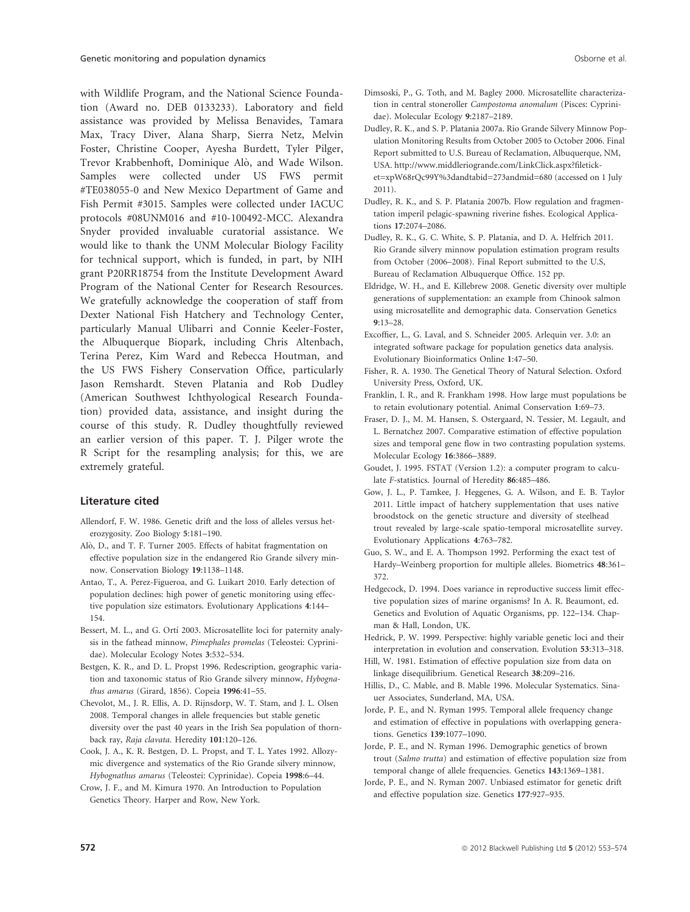with Wildlife Program, and the National Science Foundation (Award no. DEB 0133233). Laboratory and field assistance was provided by Melissa Benavides, Tamara Max, Tracy Diver, Alana Sharp, Sierra Netz, Melvin Foster, Christine Cooper, Ayesha Burdett, Tyler Pilger, Trevor Krabbenhoft, Dominique Alò, and Wade Wilson. Samples were collected under US FWS permit #TE038055-0 and New Mexico Department of Game and Fish Permit #3015. Samples were collected under IACUC protocols #08UNM016 and #10-100492-MCC. Alexandra Snyder provided invaluable curatorial assistance. We would like to thank the UNM Molecular Biology Facility for technical support, which is funded, in part, by NIH grant P20RR18754 from the Institute Development Award Program of the National Center for Research Resources. We gratefully acknowledge the cooperation of staff from Dexter National Fish Hatchery and Technology Center, particularly Manual Ulibarri and Connie Keeler-Foster, the Albuquerque Biopark, including Chris Altenbach, Terina Perez, Kim Ward and Rebecca Houtman, and the US FWS Fishery Conservation Office, particularly Jason Remshardt. Steven Platania and Rob Dudley (American Southwest Ichthyological Research Foundation) provided data, assistance, and insight during the course of this study. R. Dudley thoughtfully reviewed an earlier version of this paper. T. J. Pilger wrote the R Script for the resampling analysis; for this, we are extremely grateful.

# Literature cited

- Allendorf, F. W. 1986. Genetic drift and the loss of alleles versus heterozygosity. Zoo Biology 5:181–190.
- Alò, D., and T. F. Turner 2005. Effects of habitat fragmentation on effective population size in the endangered Rio Grande silvery minnow. Conservation Biology 19:1138–1148.
- Antao, T., A. Perez-Figueroa, and G. Luikart 2010. Early detection of population declines: high power of genetic monitoring using effective population size estimators. Evolutionary Applications 4:144– 154.
- Bessert, M. L., and G. Ortí 2003. Microsatellite loci for paternity analysis in the fathead minnow, Pimephales promelas (Teleostei: Cyprinidae). Molecular Ecology Notes 3:532–534.
- Bestgen, K. R., and D. L. Propst 1996. Redescription, geographic variation and taxonomic status of Rio Grande silvery minnow, Hybognathus amarus (Girard, 1856). Copeia 1996:41–55.
- Chevolot, M., J. R. Ellis, A. D. Rijnsdorp, W. T. Stam, and J. L. Olsen 2008. Temporal changes in allele frequencies but stable genetic diversity over the past 40 years in the Irish Sea population of thornback ray, Raja clavata. Heredity 101:120–126.
- Cook, J. A., K. R. Bestgen, D. L. Propst, and T. L. Yates 1992. Allozymic divergence and systematics of the Rio Grande silvery minnow, Hybognathus amarus (Teleostei: Cyprinidae). Copeia 1998:6–44.
- Crow, J. F., and M. Kimura 1970. An Introduction to Population Genetics Theory. Harper and Row, New York.
- Dimsoski, P., G. Toth, and M. Bagley 2000. Microsatellite characterization in central stoneroller Campostoma anomalum (Pisces: Cyprinidae). Molecular Ecology 9:2187–2189.
- Dudley, R. K., and S. P. Platania 2007a. Rio Grande Silvery Minnow Population Monitoring Results from October 2005 to October 2006. Final Report submitted to U.S. Bureau of Reclamation, Albuquerque, NM, USA. http://www.middleriogrande.com/LinkClick.aspx?fileticket=xpW68rQc99Y%3dandtabid=273andmid=680 (accessed on 1 July 2011).
- Dudley, R. K., and S. P. Platania 2007b. Flow regulation and fragmentation imperil pelagic-spawning riverine fishes. Ecological Applications 17:2074–2086.
- Dudley, R. K., G. C. White, S. P. Platania, and D. A. Helfrich 2011. Rio Grande silvery minnow population estimation program results from October (2006–2008). Final Report submitted to the U.S, Bureau of Reclamation Albuquerque Office. 152 pp.
- Eldridge, W. H., and E. Killebrew 2008. Genetic diversity over multiple generations of supplementation: an example from Chinook salmon using microsatellite and demographic data. Conservation Genetics 9:13–28.
- Excoffier, L., G. Laval, and S. Schneider 2005. Arlequin ver. 3.0: an integrated software package for population genetics data analysis. Evolutionary Bioinformatics Online 1:47–50.
- Fisher, R. A. 1930. The Genetical Theory of Natural Selection. Oxford University Press, Oxford, UK.
- Franklin, I. R., and R. Frankham 1998. How large must populations be to retain evolutionary potential. Animal Conservation 1:69–73.
- Fraser, D. J., M. M. Hansen, S. Ostergaard, N. Tessier, M. Legault, and L. Bernatchez 2007. Comparative estimation of effective population sizes and temporal gene flow in two contrasting population systems. Molecular Ecology 16:3866–3889.
- Goudet, J. 1995. FSTAT (Version 1.2): a computer program to calculate F-statistics. Journal of Heredity 86:485–486.
- Gow, J. L., P. Tamkee, J. Heggenes, G. A. Wilson, and E. B. Taylor 2011. Little impact of hatchery supplementation that uses native broodstock on the genetic structure and diversity of steelhead trout revealed by large-scale spatio-temporal microsatellite survey. Evolutionary Applications 4:763–782.
- Guo, S. W., and E. A. Thompson 1992. Performing the exact test of Hardy–Weinberg proportion for multiple alleles. Biometrics 48:361– 372.
- Hedgecock, D. 1994. Does variance in reproductive success limit effective population sizes of marine organisms? In A. R. Beaumont, ed. Genetics and Evolution of Aquatic Organisms, pp. 122–134. Chapman & Hall, London, UK.
- Hedrick, P. W. 1999. Perspective: highly variable genetic loci and their interpretation in evolution and conservation. Evolution 53:313–318.
- Hill, W. 1981. Estimation of effective population size from data on linkage disequilibrium. Genetical Research 38:209–216.
- Hillis, D., C. Mable, and B. Mable 1996. Molecular Systematics. Sinauer Associates, Sunderland, MA, USA.
- Jorde, P. E., and N. Ryman 1995. Temporal allele frequency change and estimation of effective in populations with overlapping generations. Genetics 139:1077–1090.
- Jorde, P. E., and N. Ryman 1996. Demographic genetics of brown trout (Salmo trutta) and estimation of effective population size from temporal change of allele frequencies. Genetics 143:1369–1381.
- Jorde, P. E., and N. Ryman 2007. Unbiased estimator for genetic drift and effective population size. Genetics 177:927–935.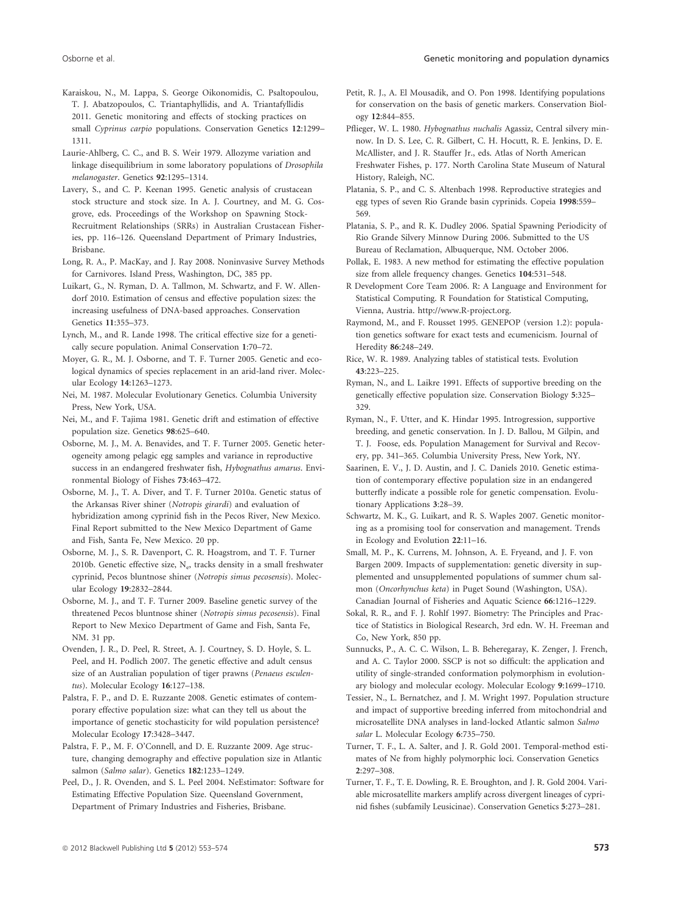- Karaiskou, N., M. Lappa, S. George Oikonomidis, C. Psaltopoulou, T. J. Abatzopoulos, C. Triantaphyllidis, and A. Triantafyllidis 2011. Genetic monitoring and effects of stocking practices on small Cyprinus carpio populations. Conservation Genetics 12:1299– 1311.
- Laurie-Ahlberg, C. C., and B. S. Weir 1979. Allozyme variation and linkage disequilibrium in some laboratory populations of Drosophila melanogaster. Genetics 92:1295–1314.
- Lavery, S., and C. P. Keenan 1995. Genetic analysis of crustacean stock structure and stock size. In A. J. Courtney, and M. G. Cosgrove, eds. Proceedings of the Workshop on Spawning Stock-Recruitment Relationships (SRRs) in Australian Crustacean Fisheries, pp. 116–126. Queensland Department of Primary Industries, Brisbane.
- Long, R. A., P. MacKay, and J. Ray 2008. Noninvasive Survey Methods for Carnivores. Island Press, Washington, DC, 385 pp.
- Luikart, G., N. Ryman, D. A. Tallmon, M. Schwartz, and F. W. Allendorf 2010. Estimation of census and effective population sizes: the increasing usefulness of DNA-based approaches. Conservation Genetics 11:355–373.
- Lynch, M., and R. Lande 1998. The critical effective size for a genetically secure population. Animal Conservation 1:70–72.
- Moyer, G. R., M. J. Osborne, and T. F. Turner 2005. Genetic and ecological dynamics of species replacement in an arid-land river. Molecular Ecology 14:1263–1273.
- Nei, M. 1987. Molecular Evolutionary Genetics. Columbia University Press, New York, USA.
- Nei, M., and F. Tajima 1981. Genetic drift and estimation of effective population size. Genetics 98:625–640.
- Osborne, M. J., M. A. Benavides, and T. F. Turner 2005. Genetic heterogeneity among pelagic egg samples and variance in reproductive success in an endangered freshwater fish, Hybognathus amarus. Environmental Biology of Fishes 73:463–472.
- Osborne, M. J., T. A. Diver, and T. F. Turner 2010a. Genetic status of the Arkansas River shiner (Notropis girardi) and evaluation of hybridization among cyprinid fish in the Pecos River, New Mexico. Final Report submitted to the New Mexico Department of Game and Fish, Santa Fe, New Mexico. 20 pp.
- Osborne, M. J., S. R. Davenport, C. R. Hoagstrom, and T. F. Turner 2010b. Genetic effective size,  $N_e$ , tracks density in a small freshwater cyprinid, Pecos bluntnose shiner (Notropis simus pecosensis). Molecular Ecology 19:2832–2844.
- Osborne, M. J., and T. F. Turner 2009. Baseline genetic survey of the threatened Pecos bluntnose shiner (Notropis simus pecosensis). Final Report to New Mexico Department of Game and Fish, Santa Fe, NM. 31 pp.
- Ovenden, J. R., D. Peel, R. Street, A. J. Courtney, S. D. Hoyle, S. L. Peel, and H. Podlich 2007. The genetic effective and adult census size of an Australian population of tiger prawns (Penaeus esculentus). Molecular Ecology 16:127–138.
- Palstra, F. P., and D. E. Ruzzante 2008. Genetic estimates of contemporary effective population size: what can they tell us about the importance of genetic stochasticity for wild population persistence? Molecular Ecology 17:3428–3447.
- Palstra, F. P., M. F. O'Connell, and D. E. Ruzzante 2009. Age structure, changing demography and effective population size in Atlantic salmon (Salmo salar). Genetics 182:1233–1249.
- Peel, D., J. R. Ovenden, and S. L. Peel 2004. NeEstimator: Software for Estimating Effective Population Size. Queensland Government, Department of Primary Industries and Fisheries, Brisbane.
- Petit, R. J., A. El Mousadik, and O. Pon 1998. Identifying populations for conservation on the basis of genetic markers. Conservation Biology 12:844–855.
- Pflieger, W. L. 1980. Hybognathus nuchalis Agassiz, Central silvery minnow. In D. S. Lee, C. R. Gilbert, C. H. Hocutt, R. E. Jenkins, D. E. McAllister, and J. R. Stauffer Jr., eds. Atlas of North American Freshwater Fishes, p. 177. North Carolina State Museum of Natural History, Raleigh, NC.
- Platania, S. P., and C. S. Altenbach 1998. Reproductive strategies and egg types of seven Rio Grande basin cyprinids. Copeia 1998:559– 569.
- Platania, S. P., and R. K. Dudley 2006. Spatial Spawning Periodicity of Rio Grande Silvery Minnow During 2006. Submitted to the US Bureau of Reclamation, Albuquerque, NM. October 2006.
- Pollak, E. 1983. A new method for estimating the effective population size from allele frequency changes. Genetics 104:531–548.
- R Development Core Team 2006. R: A Language and Environment for Statistical Computing. R Foundation for Statistical Computing, Vienna, Austria. http://www.R-project.org.
- Raymond, M., and F. Rousset 1995. GENEPOP (version 1.2): population genetics software for exact tests and ecumenicism. Journal of Heredity 86:248–249.
- Rice, W. R. 1989. Analyzing tables of statistical tests. Evolution 43:223–225.
- Ryman, N., and L. Laikre 1991. Effects of supportive breeding on the genetically effective population size. Conservation Biology 5:325– 329.
- Ryman, N., F. Utter, and K. Hindar 1995. Introgression, supportive breeding, and genetic conservation. In J. D. Ballou, M Gilpin, and T. J. Foose, eds. Population Management for Survival and Recovery, pp. 341–365. Columbia University Press, New York, NY.
- Saarinen, E. V., J. D. Austin, and J. C. Daniels 2010. Genetic estimation of contemporary effective population size in an endangered butterfly indicate a possible role for genetic compensation. Evolutionary Applications 3:28–39.
- Schwartz, M. K., G. Luikart, and R. S. Waples 2007. Genetic monitoring as a promising tool for conservation and management. Trends in Ecology and Evolution 22:11–16.
- Small, M. P., K. Currens, M. Johnson, A. E. Fryeand, and J. F. von Bargen 2009. Impacts of supplementation: genetic diversity in supplemented and unsupplemented populations of summer chum salmon (Oncorhynchus keta) in Puget Sound (Washington, USA). Canadian Journal of Fisheries and Aquatic Science 66:1216–1229.
- Sokal, R. R., and F. J. Rohlf 1997. Biometry: The Principles and Practice of Statistics in Biological Research, 3rd edn. W. H. Freeman and Co, New York, 850 pp.
- Sunnucks, P., A. C. C. Wilson, L. B. Beheregaray, K. Zenger, J. French, and A. C. Taylor 2000. SSCP is not so difficult: the application and utility of single-stranded conformation polymorphism in evolutionary biology and molecular ecology. Molecular Ecology 9:1699–1710.
- Tessier, N., L. Bernatchez, and J. M. Wright 1997. Population structure and impact of supportive breeding inferred from mitochondrial and microsatellite DNA analyses in land-locked Atlantic salmon Salmo salar L. Molecular Ecology 6:735–750.
- Turner, T. F., L. A. Salter, and J. R. Gold 2001. Temporal-method estimates of Ne from highly polymorphic loci. Conservation Genetics 2:297–308.
- Turner, T. F., T. E. Dowling, R. E. Broughton, and J. R. Gold 2004. Variable microsatellite markers amplify across divergent lineages of cyprinid fishes (subfamily Leusicinae). Conservation Genetics 5:273–281.